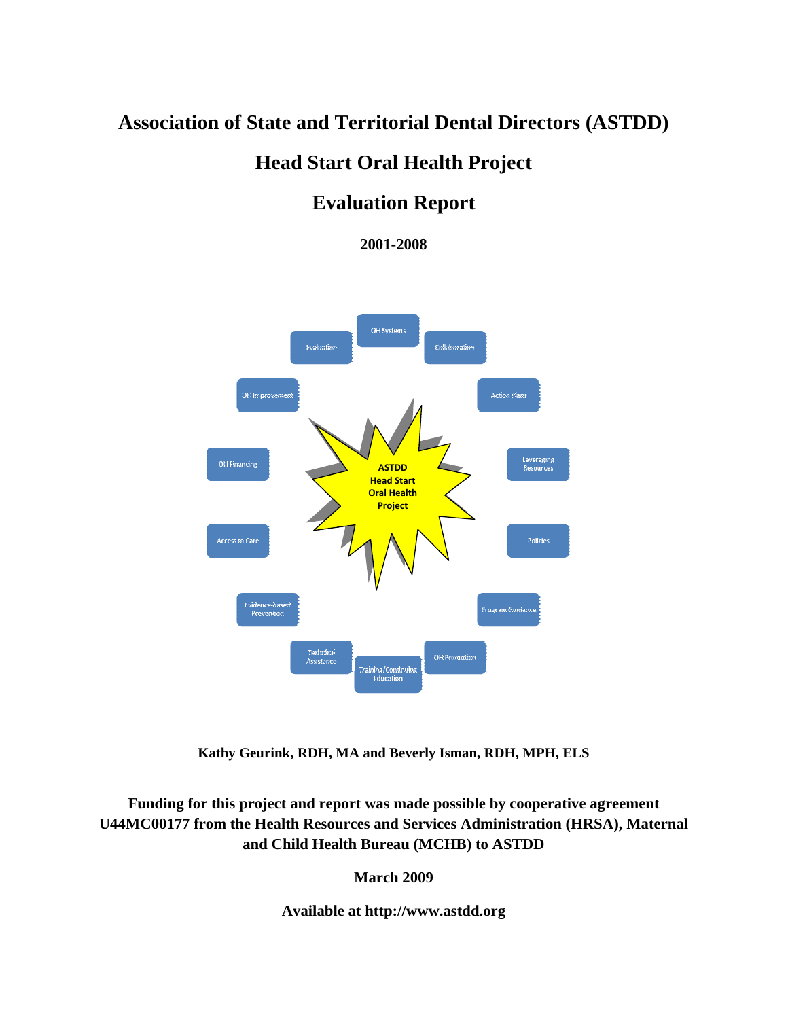# **Association of State and Territorial Dental Directors (ASTDD)**

# **Head Start Oral Health Project**

# **Evaluation Report**

**2001-2008** 



**Kathy Geurink, RDH, MA and Beverly Isman, RDH, MPH, ELS**

**Funding for this project and report was made possible by cooperative agreement U44MC00177 from the Health Resources and Services Administration (HRSA), Maternal and Child Health Bureau (MCHB) to ASTDD** 

**March 2009** 

**Available at http://www.astdd.org**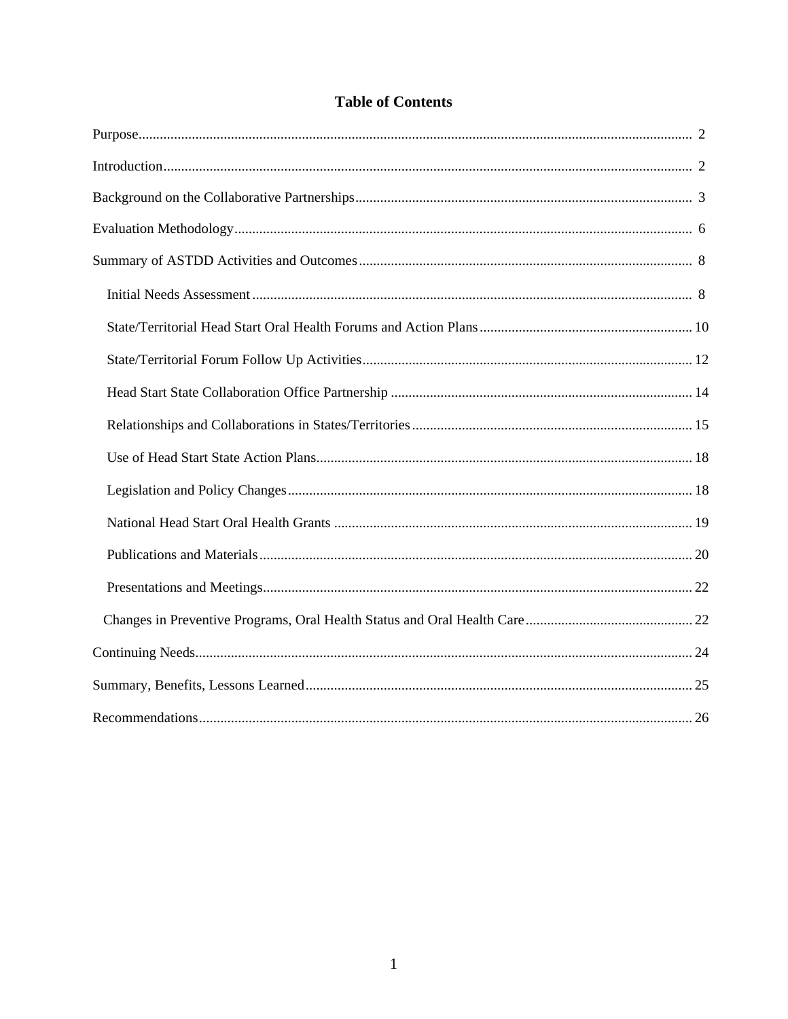## **Table of Contents**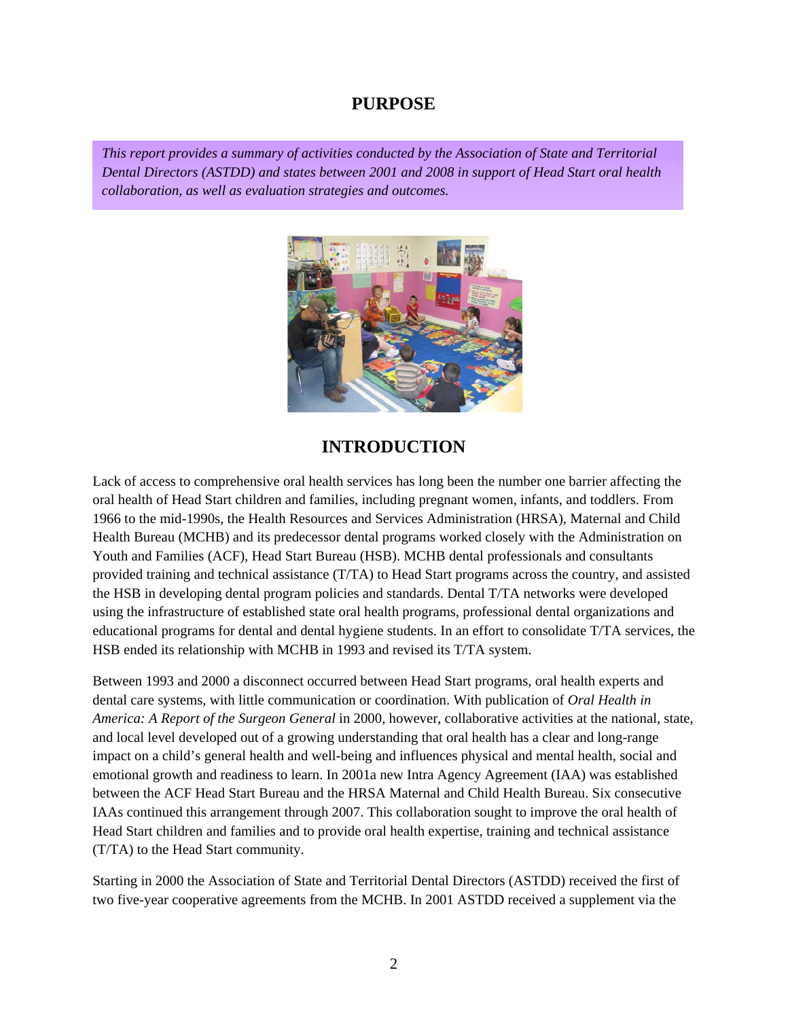### **PURPOSE**

*This report provides a summary of activities conducted by the Association of State and Territorial Dental Directors (ASTDD) and states between 2001 and 2008 in support of Head Start oral health collaboration, as well as evaluation strategies and outcomes.* 



## **INTRODUCTION**

Lack of access to comprehensive oral health services has long been the number one barrier affecting the oral health of Head Start children and families, including pregnant women, infants, and toddlers. From 1966 to the mid-1990s, the Health Resources and Services Administration (HRSA), Maternal and Child Health Bureau (MCHB) and its predecessor dental programs worked closely with the Administration on Youth and Families (ACF), Head Start Bureau (HSB). MCHB dental professionals and consultants provided training and technical assistance (T/TA) to Head Start programs across the country, and assisted the HSB in developing dental program policies and standards. Dental T/TA networks were developed using the infrastructure of established state oral health programs, professional dental organizations and educational programs for dental and dental hygiene students. In an effort to consolidate T/TA services, the HSB ended its relationship with MCHB in 1993 and revised its T/TA system.

Between 1993 and 2000 a disconnect occurred between Head Start programs, oral health experts and dental care systems, with little communication or coordination. With publication of *Oral Health in America: A Report of the Surgeon General* in 2000, however, collaborative activities at the national, state, and local level developed out of a growing understanding that oral health has a clear and long-range impact on a child's general health and well-being and influences physical and mental health, social and emotional growth and readiness to learn. In 2001a new Intra Agency Agreement (IAA) was established between the ACF Head Start Bureau and the HRSA Maternal and Child Health Bureau. Six consecutive IAAs continued this arrangement through 2007. This collaboration sought to improve the oral health of Head Start children and families and to provide oral health expertise, training and technical assistance (T/TA) to the Head Start community.

Starting in 2000 the Association of State and Territorial Dental Directors (ASTDD) received the first of two five-year cooperative agreements from the MCHB. In 2001 ASTDD received a supplement via the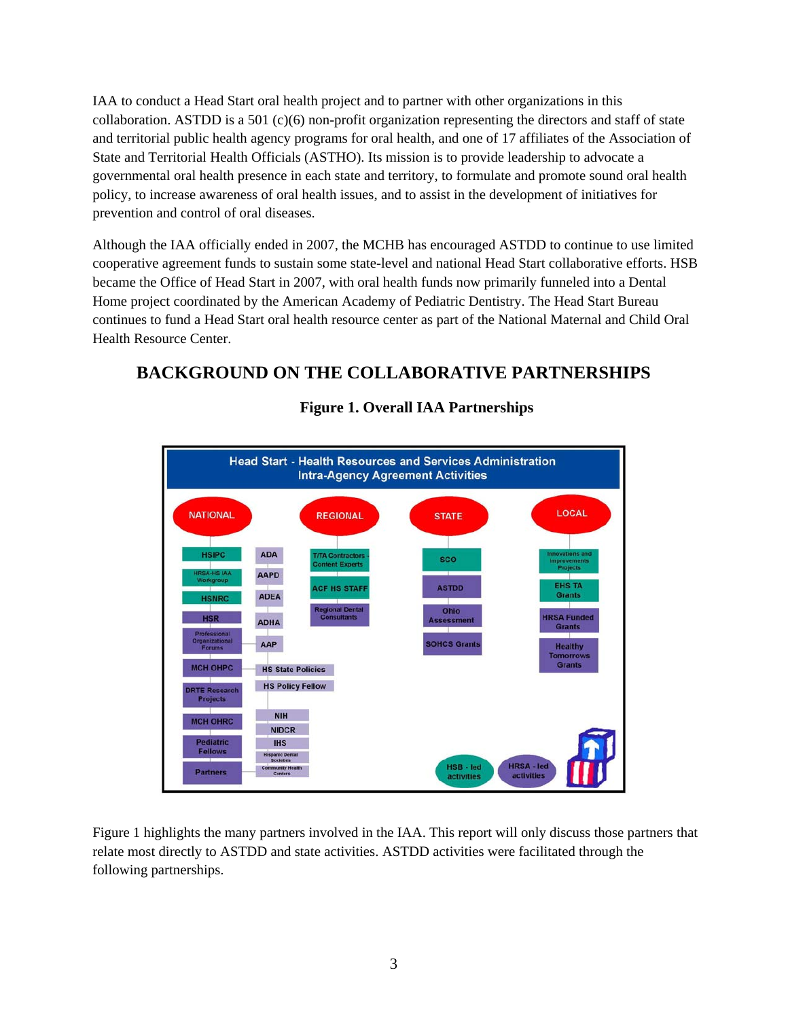IAA to conduct a Head Start oral health project and to partner with other organizations in this collaboration. ASTDD is a 501 (c)(6) non-profit organization representing the directors and staff of state and territorial public health agency programs for oral health, and one of 17 affiliates of the Association of State and Territorial Health Officials (ASTHO). Its mission is to provide leadership to advocate a governmental oral health presence in each state and territory, to formulate and promote sound oral health policy, to increase awareness of oral health issues, and to assist in the development of initiatives for prevention and control of oral diseases.

Although the IAA officially ended in 2007, the MCHB has encouraged ASTDD to continue to use limited cooperative agreement funds to sustain some state-level and national Head Start collaborative efforts. HSB became the Office of Head Start in 2007, with oral health funds now primarily funneled into a Dental Home project coordinated by the American Academy of Pediatric Dentistry. The Head Start Bureau continues to fund a Head Start oral health resource center as part of the National Maternal and Child Oral Health Resource Center.

## **BACKGROUND ON THE COLLABORATIVE PARTNERSHIPS**



## **Figure 1. Overall IAA Partnerships**

Figure 1 highlights the many partners involved in the IAA. This report will only discuss those partners that relate most directly to ASTDD and state activities. ASTDD activities were facilitated through the following partnerships.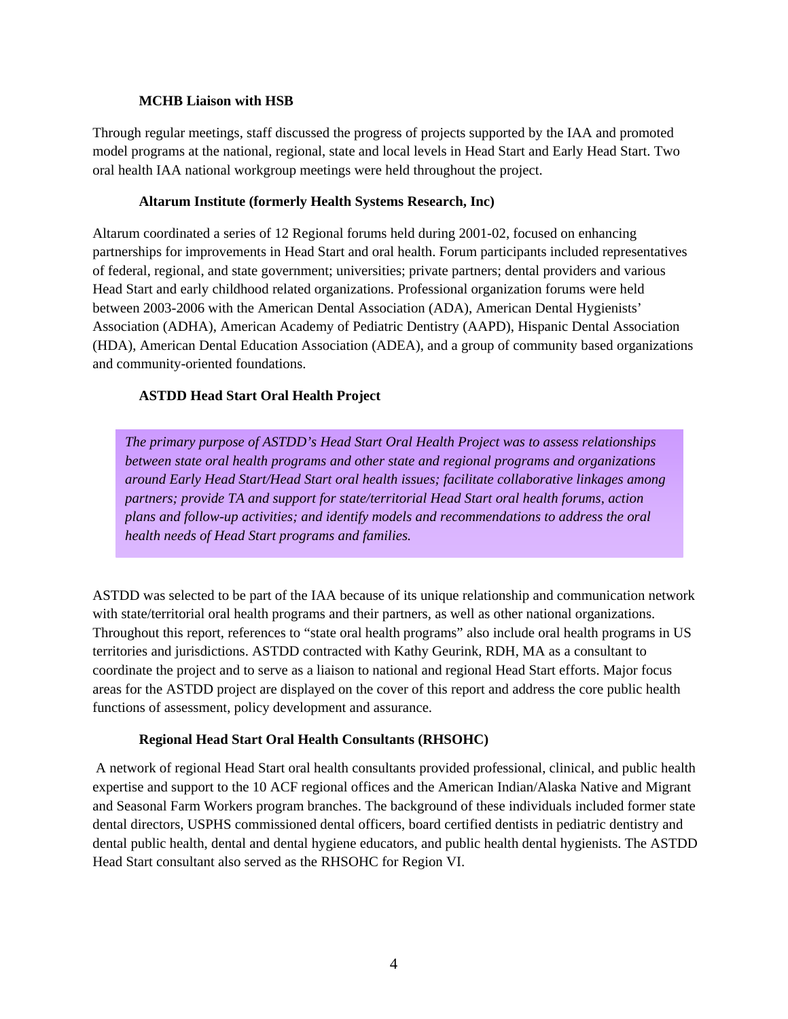#### **MCHB Liaison with HSB**

Through regular meetings, staff discussed the progress of projects supported by the IAA and promoted model programs at the national, regional, state and local levels in Head Start and Early Head Start. Two oral health IAA national workgroup meetings were held throughout the project.

#### **Altarum Institute (formerly Health Systems Research, Inc)**

Altarum coordinated a series of 12 Regional forums held during 2001-02, focused on enhancing partnerships for improvements in Head Start and oral health. Forum participants included representatives of federal, regional, and state government; universities; private partners; dental providers and various Head Start and early childhood related organizations. Professional organization forums were held between 2003-2006 with the American Dental Association (ADA), American Dental Hygienists' Association (ADHA), American Academy of Pediatric Dentistry (AAPD), Hispanic Dental Association (HDA), American Dental Education Association (ADEA), and a group of community based organizations and community-oriented foundations.

#### **ASTDD Head Start Oral Health Project**

*The primary purpose of ASTDD's Head Start Oral Health Project was to assess relationships between state oral health programs and other state and regional programs and organizations around Early Head Start/Head Start oral health issues; facilitate collaborative linkages among partners; provide TA and support for state/territorial Head Start oral health forums, action plans and follow-up activities; and identify models and recommendations to address the oral health needs of Head Start programs and families.* 

ASTDD was selected to be part of the IAA because of its unique relationship and communication network with state/territorial oral health programs and their partners, as well as other national organizations. Throughout this report, references to "state oral health programs" also include oral health programs in US territories and jurisdictions. ASTDD contracted with Kathy Geurink, RDH, MA as a consultant to coordinate the project and to serve as a liaison to national and regional Head Start efforts. Major focus areas for the ASTDD project are displayed on the cover of this report and address the core public health functions of assessment, policy development and assurance.

#### **Regional Head Start Oral Health Consultants (RHSOHC)**

A network of regional Head Start oral health consultants provided professional, clinical, and public health expertise and support to the 10 ACF regional offices and the American Indian/Alaska Native and Migrant and Seasonal Farm Workers program branches. The background of these individuals included former state dental directors, USPHS commissioned dental officers, board certified dentists in pediatric dentistry and dental public health, dental and dental hygiene educators, and public health dental hygienists. The ASTDD Head Start consultant also served as the RHSOHC for Region VI.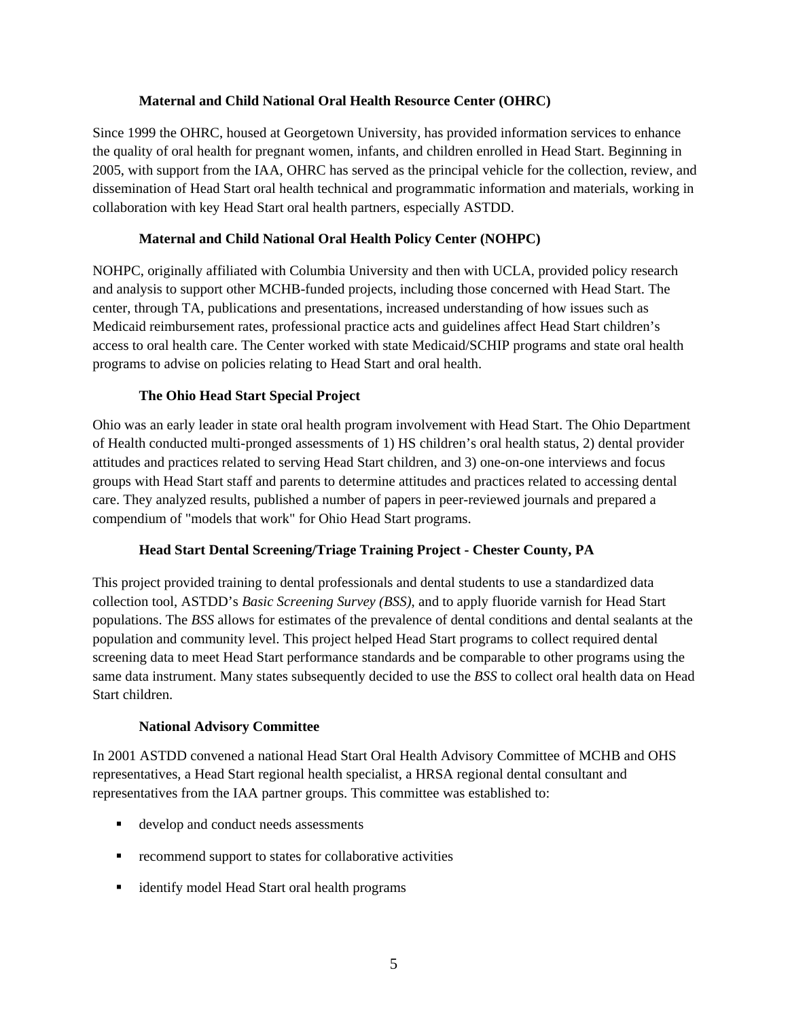#### **Maternal and Child National Oral Health Resource Center (OHRC)**

Since 1999 the OHRC, housed at Georgetown University, has provided information services to enhance the quality of oral health for pregnant women, infants, and children enrolled in Head Start. Beginning in 2005, with support from the IAA, OHRC has served as the principal vehicle for the collection, review, and dissemination of Head Start oral health technical and programmatic information and materials, working in collaboration with key Head Start oral health partners, especially ASTDD.

#### **Maternal and Child National Oral Health Policy Center (NOHPC)**

NOHPC, originally affiliated with Columbia University and then with UCLA, provided policy research and analysis to support other MCHB-funded projects, including those concerned with Head Start. The center, through TA, publications and presentations, increased understanding of how issues such as Medicaid reimbursement rates, professional practice acts and guidelines affect Head Start children's access to oral health care. The Center worked with state Medicaid/SCHIP programs and state oral health programs to advise on policies relating to Head Start and oral health.

#### **The Ohio Head Start Special Project**

Ohio was an early leader in state oral health program involvement with Head Start. The Ohio Department of Health conducted multi-pronged assessments of 1) HS children's oral health status, 2) dental provider attitudes and practices related to serving Head Start children, and 3) one-on-one interviews and focus groups with Head Start staff and parents to determine attitudes and practices related to accessing dental care. They analyzed results, published a number of papers in peer-reviewed journals and prepared a compendium of "models that work" for Ohio Head Start programs.

#### **Head Start Dental Screening/Triage Training Project - Chester County, PA**

This project provided training to dental professionals and dental students to use a standardized data collection tool, ASTDD's *Basic Screening Survey (BSS)*, and to apply fluoride varnish for Head Start populations. The *BSS* allows for estimates of the prevalence of dental conditions and dental sealants at the population and community level. This project helped Head Start programs to collect required dental screening data to meet Head Start performance standards and be comparable to other programs using the same data instrument. Many states subsequently decided to use the *BSS* to collect oral health data on Head Start children.

#### **National Advisory Committee**

In 2001 ASTDD convened a national Head Start Oral Health Advisory Committee of MCHB and OHS representatives, a Head Start regional health specialist, a HRSA regional dental consultant and representatives from the IAA partner groups. This committee was established to:

- develop and conduct needs assessments
- **•** recommend support to states for collaborative activities
- identify model Head Start oral health programs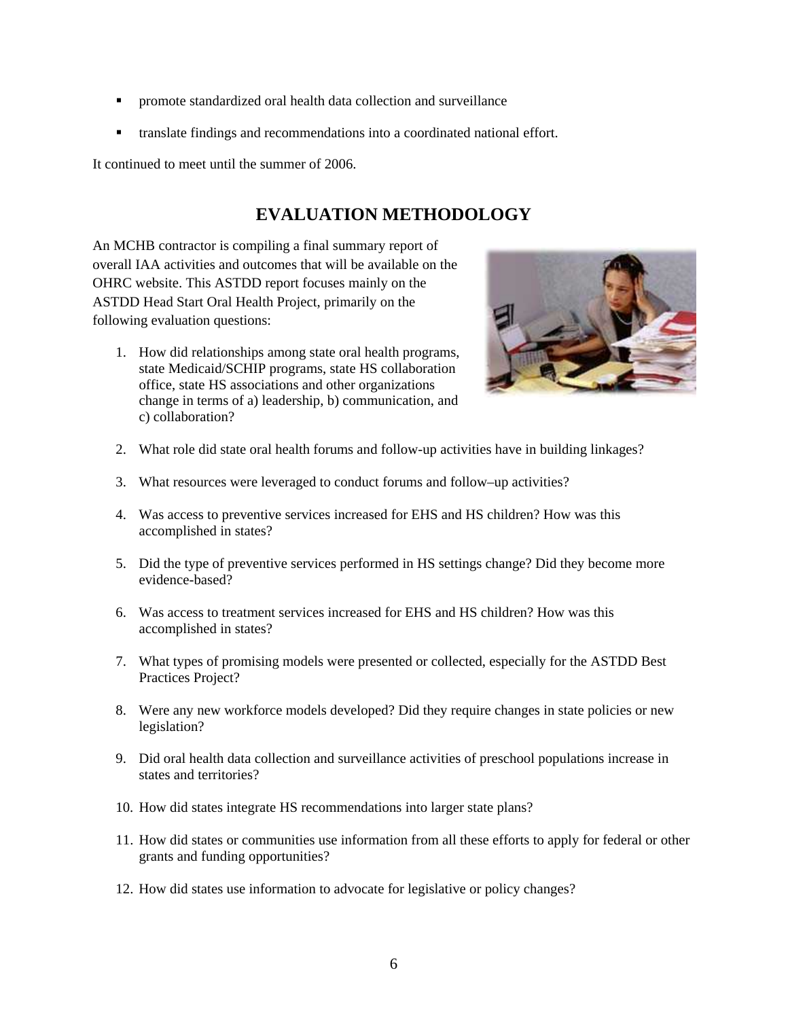- promote standardized oral health data collection and surveillance
- translate findings and recommendations into a coordinated national effort.

It continued to meet until the summer of 2006.

## **EVALUATION METHODOLOGY**

An MCHB contractor is compiling a final summary report of overall IAA activities and outcomes that will be available on the OHRC website. This ASTDD report focuses mainly on the ASTDD Head Start Oral Health Project, primarily on the following evaluation questions:

1. How did relationships among state oral health programs, state Medicaid/SCHIP programs, state HS collaboration office, state HS associations and other organizations change in terms of a) leadership, b) communication, and c) collaboration?



- 2. What role did state oral health forums and follow-up activities have in building linkages?
- 3. What resources were leveraged to conduct forums and follow–up activities?
- 4. Was access to preventive services increased for EHS and HS children? How was this accomplished in states?
- 5. Did the type of preventive services performed in HS settings change? Did they become more evidence-based?
- 6. Was access to treatment services increased for EHS and HS children? How was this accomplished in states?
- 7. What types of promising models were presented or collected, especially for the ASTDD Best Practices Project?
- 8. Were any new workforce models developed? Did they require changes in state policies or new legislation?
- 9. Did oral health data collection and surveillance activities of preschool populations increase in states and territories?
- 10. How did states integrate HS recommendations into larger state plans?
- 11. How did states or communities use information from all these efforts to apply for federal or other grants and funding opportunities?
- 12. How did states use information to advocate for legislative or policy changes?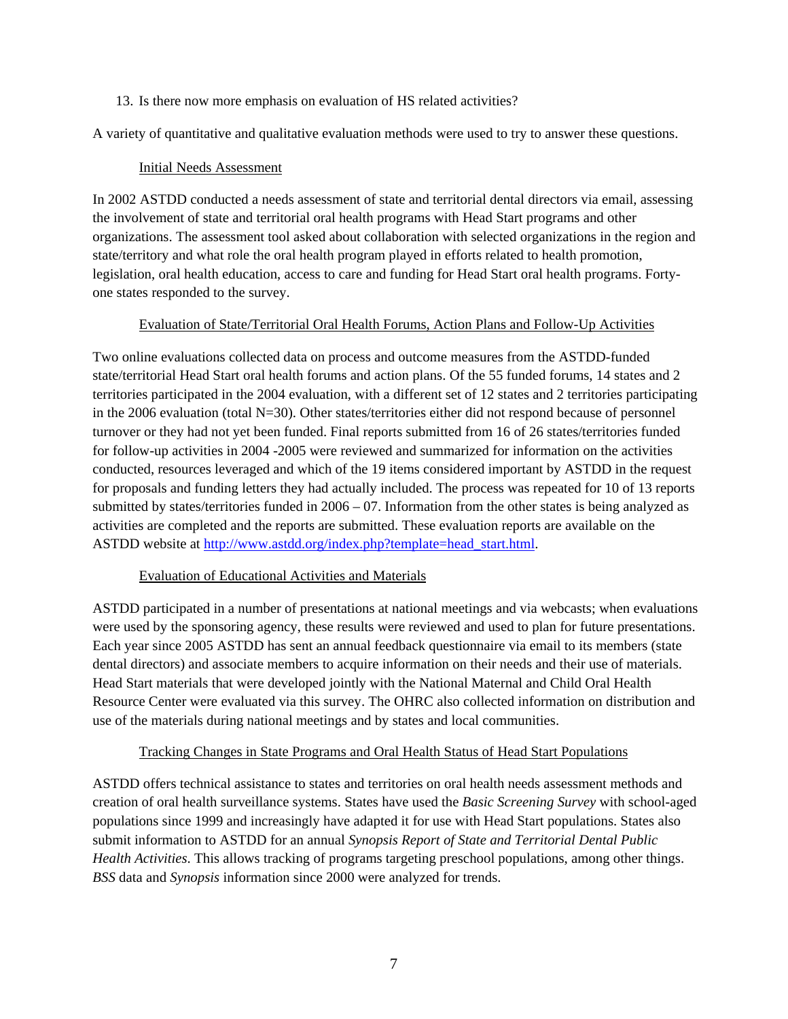#### 13. Is there now more emphasis on evaluation of HS related activities?

A variety of quantitative and qualitative evaluation methods were used to try to answer these questions.

#### Initial Needs Assessment

In 2002 ASTDD conducted a needs assessment of state and territorial dental directors via email, assessing the involvement of state and territorial oral health programs with Head Start programs and other organizations. The assessment tool asked about collaboration with selected organizations in the region and state/territory and what role the oral health program played in efforts related to health promotion, legislation, oral health education, access to care and funding for Head Start oral health programs. Fortyone states responded to the survey.

#### Evaluation of State/Territorial Oral Health Forums, Action Plans and Follow-Up Activities

Two online evaluations collected data on process and outcome measures from the ASTDD-funded state/territorial Head Start oral health forums and action plans. Of the 55 funded forums, 14 states and 2 territories participated in the 2004 evaluation, with a different set of 12 states and 2 territories participating in the 2006 evaluation (total N=30). Other states/territories either did not respond because of personnel turnover or they had not yet been funded. Final reports submitted from 16 of 26 states/territories funded for follow-up activities in 2004 -2005 were reviewed and summarized for information on the activities conducted, resources leveraged and which of the 19 items considered important by ASTDD in the request for proposals and funding letters they had actually included. The process was repeated for 10 of 13 reports submitted by states/territories funded in 2006 – 07. Information from the other states is being analyzed as activities are completed and the reports are submitted. These evaluation reports are available on the ASTDD website at [http://www.astdd.org/index.php?template=head\\_start.html.](http://www.astdd.org/index.php?template=head_start.html)

#### Evaluation of Educational Activities and Materials

ASTDD participated in a number of presentations at national meetings and via webcasts; when evaluations were used by the sponsoring agency, these results were reviewed and used to plan for future presentations. Each year since 2005 ASTDD has sent an annual feedback questionnaire via email to its members (state dental directors) and associate members to acquire information on their needs and their use of materials. Head Start materials that were developed jointly with the National Maternal and Child Oral Health Resource Center were evaluated via this survey. The OHRC also collected information on distribution and use of the materials during national meetings and by states and local communities.

#### Tracking Changes in State Programs and Oral Health Status of Head Start Populations

ASTDD offers technical assistance to states and territories on oral health needs assessment methods and creation of oral health surveillance systems. States have used the *Basic Screening Survey* with school-aged populations since 1999 and increasingly have adapted it for use with Head Start populations. States also submit information to ASTDD for an annual *Synopsis Report of State and Territorial Dental Public Health Activities*. This allows tracking of programs targeting preschool populations, among other things. *BSS* data and *Synopsis* information since 2000 were analyzed for trends.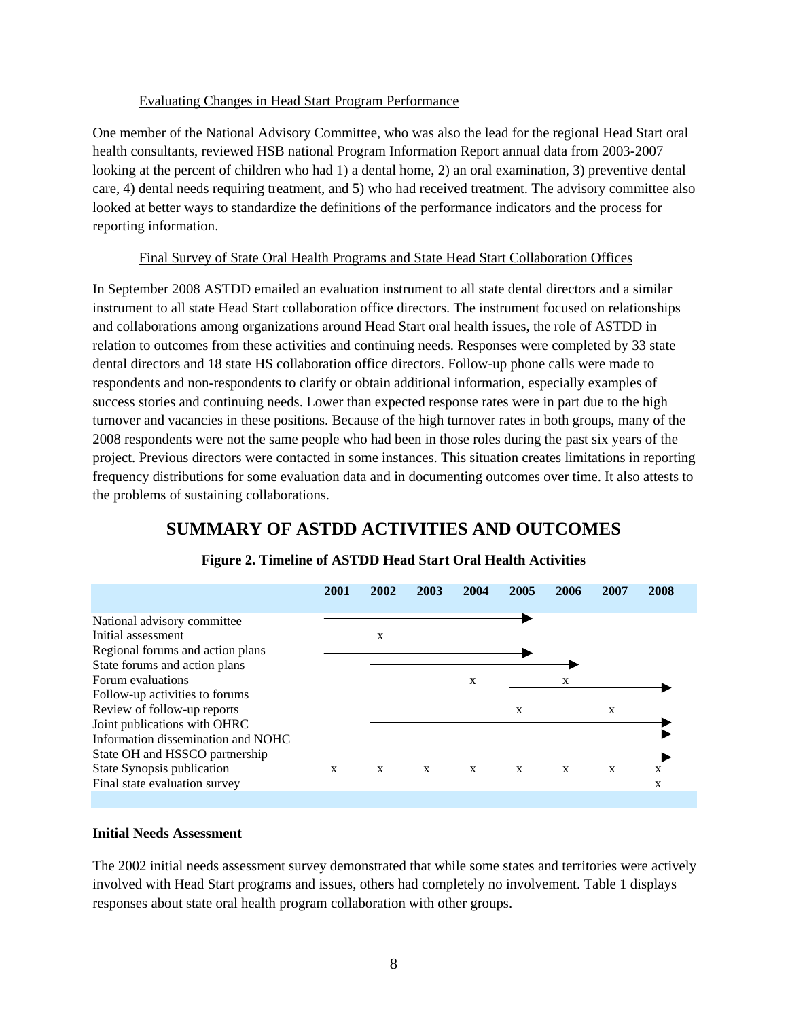#### Evaluating Changes in Head Start Program Performance

One member of the National Advisory Committee, who was also the lead for the regional Head Start oral health consultants, reviewed HSB national Program Information Report annual data from 2003-2007 looking at the percent of children who had 1) a dental home, 2) an oral examination, 3) preventive dental care, 4) dental needs requiring treatment, and 5) who had received treatment. The advisory committee also looked at better ways to standardize the definitions of the performance indicators and the process for reporting information.

#### Final Survey of State Oral Health Programs and State Head Start Collaboration Offices

In September 2008 ASTDD emailed an evaluation instrument to all state dental directors and a similar instrument to all state Head Start collaboration office directors. The instrument focused on relationships and collaborations among organizations around Head Start oral health issues, the role of ASTDD in relation to outcomes from these activities and continuing needs. Responses were completed by 33 state dental directors and 18 state HS collaboration office directors. Follow-up phone calls were made to respondents and non-respondents to clarify or obtain additional information, especially examples of success stories and continuing needs. Lower than expected response rates were in part due to the high turnover and vacancies in these positions. Because of the high turnover rates in both groups, many of the 2008 respondents were not the same people who had been in those roles during the past six years of the project. Previous directors were contacted in some instances. This situation creates limitations in reporting frequency distributions for some evaluation data and in documenting outcomes over time. It also attests to the problems of sustaining collaborations.

## **SUMMARY OF ASTDD ACTIVITIES AND OUTCOMES**



#### **Figure 2. Timeline of ASTDD Head Start Oral Health Activities**

#### **Initial Needs Assessment**

The 2002 initial needs assessment survey demonstrated that while some states and territories were actively involved with Head Start programs and issues, others had completely no involvement. Table 1 displays responses about state oral health program collaboration with other groups.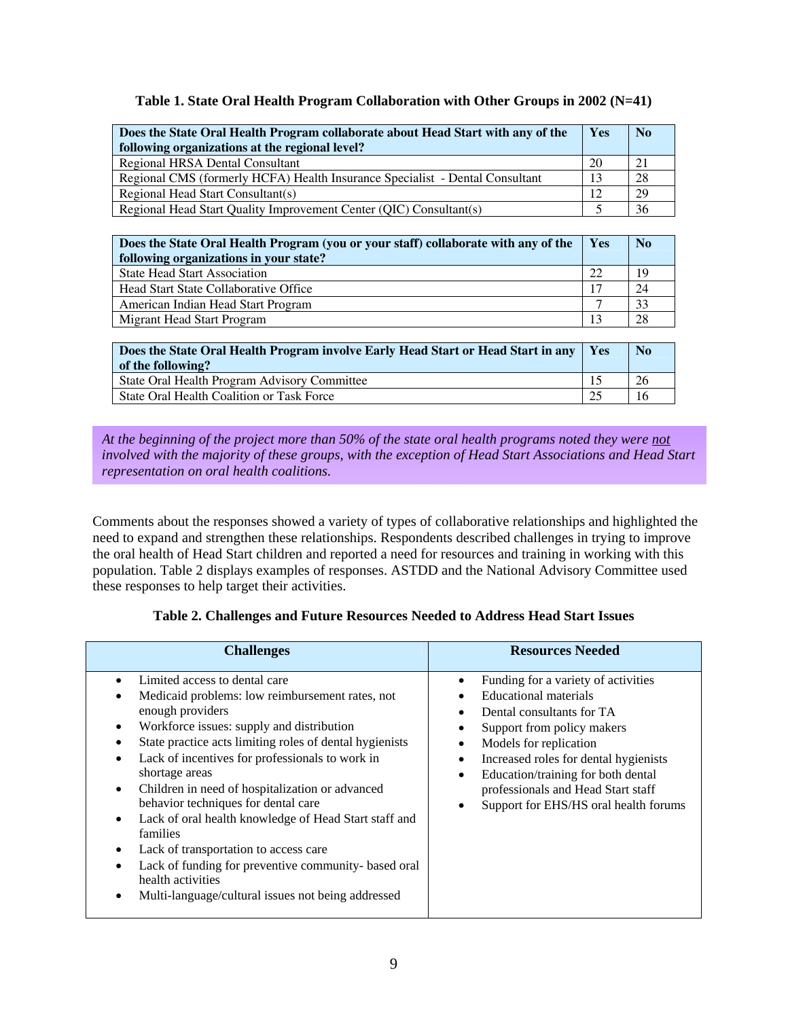#### **Table 1. State Oral Health Program Collaboration with Other Groups in 2002 (N=41)**

| Does the State Oral Health Program collaborate about Head Start with any of the<br>following organizations at the regional level? | Yes | $\mathbf{N_0}$ |
|-----------------------------------------------------------------------------------------------------------------------------------|-----|----------------|
| Regional HRSA Dental Consultant                                                                                                   | 20  | 21             |
| Regional CMS (formerly HCFA) Health Insurance Specialist - Dental Consultant                                                      | 13  | 28             |
| Regional Head Start Consultant(s)                                                                                                 | 12  | 29             |
| Regional Head Start Quality Improvement Center (QIC) Consultant(s)                                                                |     | 36             |

| Does the State Oral Health Program (you or your staff) collaborate with any of the<br>following organizations in your state? | Yes | N <sub>o</sub> |
|------------------------------------------------------------------------------------------------------------------------------|-----|----------------|
| <b>State Head Start Association</b>                                                                                          | 22  | 19             |
| <b>Head Start State Collaborative Office</b>                                                                                 | 17  | 24             |
| American Indian Head Start Program                                                                                           |     | 33             |
| Migrant Head Start Program                                                                                                   |     | 28             |

| Does the State Oral Health Program involve Early Head Start or Head Start in any<br>of the following? | $\mathbf{Yes}$ | <b>No</b> |
|-------------------------------------------------------------------------------------------------------|----------------|-----------|
| State Oral Health Program Advisory Committee                                                          |                | 26        |
| State Oral Health Coalition or Task Force                                                             | 25             |           |

#### *At the beginning of the project more than 50% of the state oral health programs noted they were not involved with the majority of these groups, with the exception of Head Start Associations and Head Start representation on oral health coalitions.*

Comments about the responses showed a variety of types of collaborative relationships and highlighted the need to expand and strengthen these relationships. Respondents described challenges in trying to improve the oral health of Head Start children and reported a need for resources and training in working with this population. Table 2 displays examples of responses. ASTDD and the National Advisory Committee used these responses to help target their activities.

#### **Table 2. Challenges and Future Resources Needed to Address Head Start Issues**

| <b>Challenges</b>                                                                                                                                                                                                                                                                                                                                                                                                                                                                                                                                                                                                                                                                                                 | <b>Resources Needed</b>                                                                                                                                                                                                                                                                                                                                               |
|-------------------------------------------------------------------------------------------------------------------------------------------------------------------------------------------------------------------------------------------------------------------------------------------------------------------------------------------------------------------------------------------------------------------------------------------------------------------------------------------------------------------------------------------------------------------------------------------------------------------------------------------------------------------------------------------------------------------|-----------------------------------------------------------------------------------------------------------------------------------------------------------------------------------------------------------------------------------------------------------------------------------------------------------------------------------------------------------------------|
| Limited access to dental care<br>$\bullet$<br>Medicaid problems: low reimbursement rates, not<br>enough providers<br>Workforce issues: supply and distribution<br>$\bullet$<br>State practice acts limiting roles of dental hygienists<br>٠<br>Lack of incentives for professionals to work in<br>$\bullet$<br>shortage areas<br>Children in need of hospitalization or advanced<br>$\bullet$<br>behavior techniques for dental care<br>Lack of oral health knowledge of Head Start staff and<br>$\bullet$<br>families<br>Lack of transportation to access care<br>٠<br>Lack of funding for preventive community- based oral<br>٠<br>health activities<br>Multi-language/cultural issues not being addressed<br>٠ | Funding for a variety of activities<br>٠<br>Educational materials<br>Dental consultants for TA<br>Support from policy makers<br>٠<br>Models for replication<br>$\bullet$<br>Increased roles for dental hygienists<br>٠<br>Education/training for both dental<br>$\bullet$<br>professionals and Head Start staff<br>Support for EHS/HS oral health forums<br>$\bullet$ |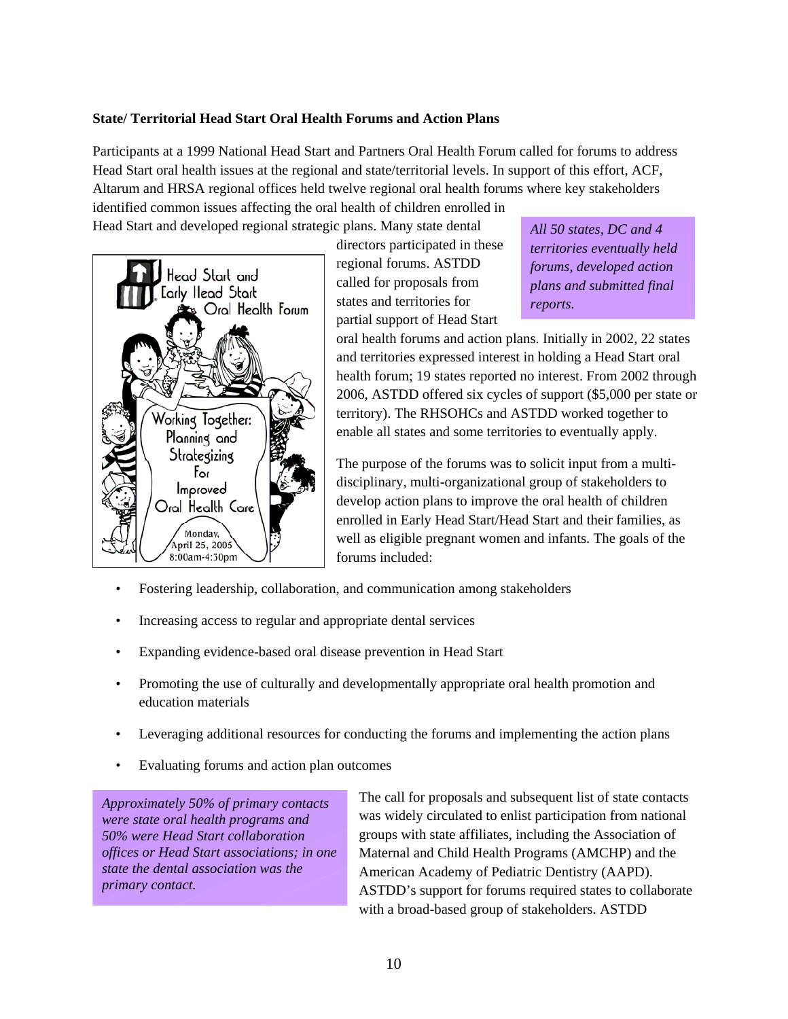#### **State/ Territorial Head Start Oral Health Forums and Action Plans**

Participants at a 1999 National Head Start and Partners Oral Health Forum called for forums to address Head Start oral health issues at the regional and state/territorial levels. In support of this effort, ACF, Altarum and HRSA regional offices held twelve regional oral health forums where key stakeholders identified common issues affecting the oral health of children enrolled in

Head Start and developed regional strategic plans. Many state dental



directors participated in these regional forums. ASTDD called for proposals from states and territories for partial support of Head Start

*All 50 states, DC and 4 territories eventually held forums, developed action plans and submitted final reports.* 

oral health forums and action plans. Initially in 2002, 22 states and territories expressed interest in holding a Head Start oral health forum; 19 states reported no interest. From 2002 through 2006, ASTDD offered six cycles of support (\$5,000 per state or territory). The RHSOHCs and ASTDD worked together to enable all states and some territories to eventually apply.

The purpose of the forums was to solicit input from a multidisciplinary, multi-organizational group of stakeholders to develop action plans to improve the oral health of children enrolled in Early Head Start/Head Start and their families, as well as eligible pregnant women and infants. The goals of the forums included:

- Fostering leadership, collaboration, and communication among stakeholders
- Increasing access to regular and appropriate dental services
- Expanding evidence-based oral disease prevention in Head Start
- Promoting the use of culturally and developmentally appropriate oral health promotion and education materials
- Leveraging additional resources for conducting the forums and implementing the action plans
- Evaluating forums and action plan outcomes

*Approximately 50% of primary contacts were state oral health programs and 50% were Head Start collaboration offices or Head Start associations; in one state the dental association was the primary contact.* 

The call for proposals and subsequent list of state contacts was widely circulated to enlist participation from national groups with state affiliates, including the Association of Maternal and Child Health Programs (AMCHP) and the American Academy of Pediatric Dentistry (AAPD). ASTDD's support for forums required states to collaborate with a broad-based group of stakeholders. ASTDD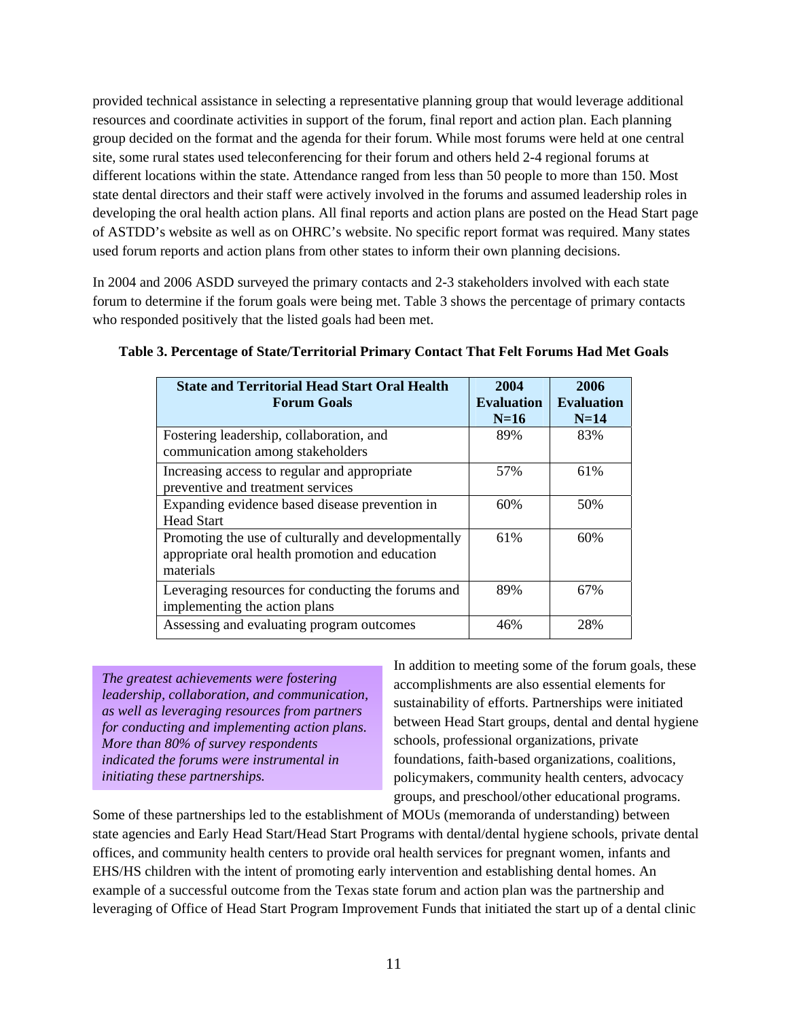provided technical assistance in selecting a representative planning group that would leverage additional resources and coordinate activities in support of the forum, final report and action plan. Each planning group decided on the format and the agenda for their forum. While most forums were held at one central site, some rural states used teleconferencing for their forum and others held 2-4 regional forums at different locations within the state. Attendance ranged from less than 50 people to more than 150. Most state dental directors and their staff were actively involved in the forums and assumed leadership roles in developing the oral health action plans. All final reports and action plans are posted on the Head Start page of ASTDD's website as well as on OHRC's website. No specific report format was required. Many states used forum reports and action plans from other states to inform their own planning decisions.

In 2004 and 2006 ASDD surveyed the primary contacts and 2-3 stakeholders involved with each state forum to determine if the forum goals were being met. Table 3 shows the percentage of primary contacts who responded positively that the listed goals had been met.

| <b>State and Territorial Head Start Oral Health</b><br><b>Forum Goals</b>                                           | 2004<br><b>Evaluation</b> | 2006<br><b>Evaluation</b> |
|---------------------------------------------------------------------------------------------------------------------|---------------------------|---------------------------|
|                                                                                                                     | $N=16$                    | $N=14$                    |
| Fostering leadership, collaboration, and<br>communication among stakeholders                                        | 89%                       | 83%                       |
|                                                                                                                     |                           |                           |
| Increasing access to regular and appropriate<br>preventive and treatment services                                   | 57%                       | 61%                       |
| Expanding evidence based disease prevention in                                                                      | 60%                       | 50%                       |
| <b>Head Start</b>                                                                                                   |                           |                           |
| Promoting the use of culturally and developmentally<br>appropriate oral health promotion and education<br>materials | 61%                       | 60%                       |
| Leveraging resources for conducting the forums and<br>implementing the action plans                                 | 89%                       | 67%                       |
| Assessing and evaluating program outcomes                                                                           | 46%                       | 28%                       |

### **Table 3. Percentage of State/Territorial Primary Contact That Felt Forums Had Met Goals**

*The greatest achievements were fostering leadership, collaboration, and communication, as well as leveraging resources from partners for conducting and implementing action plans. More than 80% of survey respondents indicated the forums were instrumental in initiating these partnerships.* 

In addition to meeting some of the forum goals, these accomplishments are also essential elements for sustainability of efforts. Partnerships were initiated between Head Start groups, dental and dental hygiene schools, professional organizations, private foundations, faith-based organizations, coalitions, policymakers, community health centers, advocacy groups, and preschool/other educational programs.

Some of these partnerships led to the establishment of MOUs (memoranda of understanding) between state agencies and Early Head Start/Head Start Programs with dental/dental hygiene schools, private dental offices, and community health centers to provide oral health services for pregnant women, infants and EHS/HS children with the intent of promoting early intervention and establishing dental homes. An example of a successful outcome from the Texas state forum and action plan was the partnership and leveraging of Office of Head Start Program Improvement Funds that initiated the start up of a dental clinic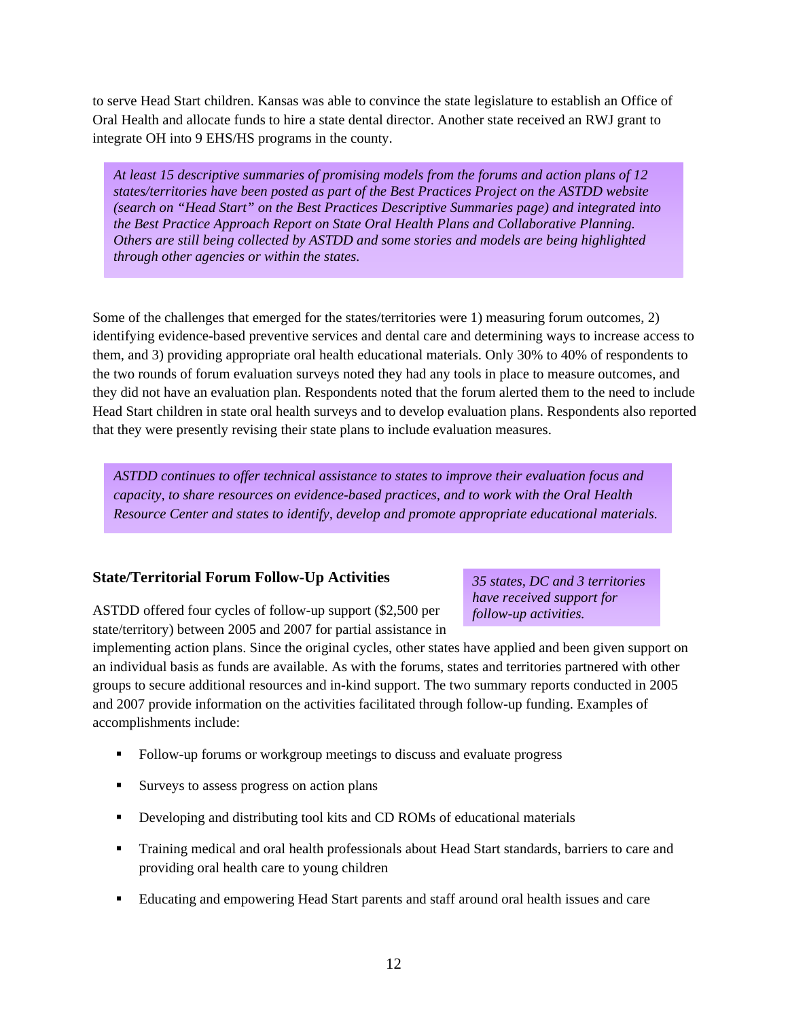to serve Head Start children. Kansas was able to convince the state legislature to establish an Office of Oral Health and allocate funds to hire a state dental director. Another state received an RWJ grant to integrate OH into 9 EHS/HS programs in the county.

*At least 15 descriptive summaries of promising models from the forums and action plans of 12 states/territories have been posted as part of the Best Practices Project on the ASTDD website (search on "Head Start" on the Best Practices Descriptive Summaries page) and integrated into the Best Practice Approach Report on State Oral Health Plans and Collaborative Planning. Others are still being collected by ASTDD and some stories and models are being highlighted through other agencies or within the states.* 

Some of the challenges that emerged for the states/territories were 1) measuring forum outcomes, 2) identifying evidence-based preventive services and dental care and determining ways to increase access to them, and 3) providing appropriate oral health educational materials. Only 30% to 40% of respondents to the two rounds of forum evaluation surveys noted they had any tools in place to measure outcomes, and they did not have an evaluation plan. Respondents noted that the forum alerted them to the need to include Head Start children in state oral health surveys and to develop evaluation plans. Respondents also reported that they were presently revising their state plans to include evaluation measures.

*ASTDD continues to offer technical assistance to states to improve their evaluation focus and capacity, to share resources on evidence-based practices, and to work with the Oral Health Resource Center and states to identify, develop and promote appropriate educational materials.*

### **State/Territorial Forum Follow-Up Activities**

ASTDD offered four cycles of follow-up support (\$2,500 per state/territory) between 2005 and 2007 for partial assistance in *35 states, DC and 3 territories have received support for follow-up activities.* 

implementing action plans. Since the original cycles, other states have applied and been given support on an individual basis as funds are available. As with the forums, states and territories partnered with other groups to secure additional resources and in-kind support. The two summary reports conducted in 2005 and 2007 provide information on the activities facilitated through follow-up funding. Examples of accomplishments include:

- Follow-up forums or workgroup meetings to discuss and evaluate progress
- Surveys to assess progress on action plans
- Developing and distributing tool kits and CD ROMs of educational materials
- Training medical and oral health professionals about Head Start standards, barriers to care and providing oral health care to young children
- Educating and empowering Head Start parents and staff around oral health issues and care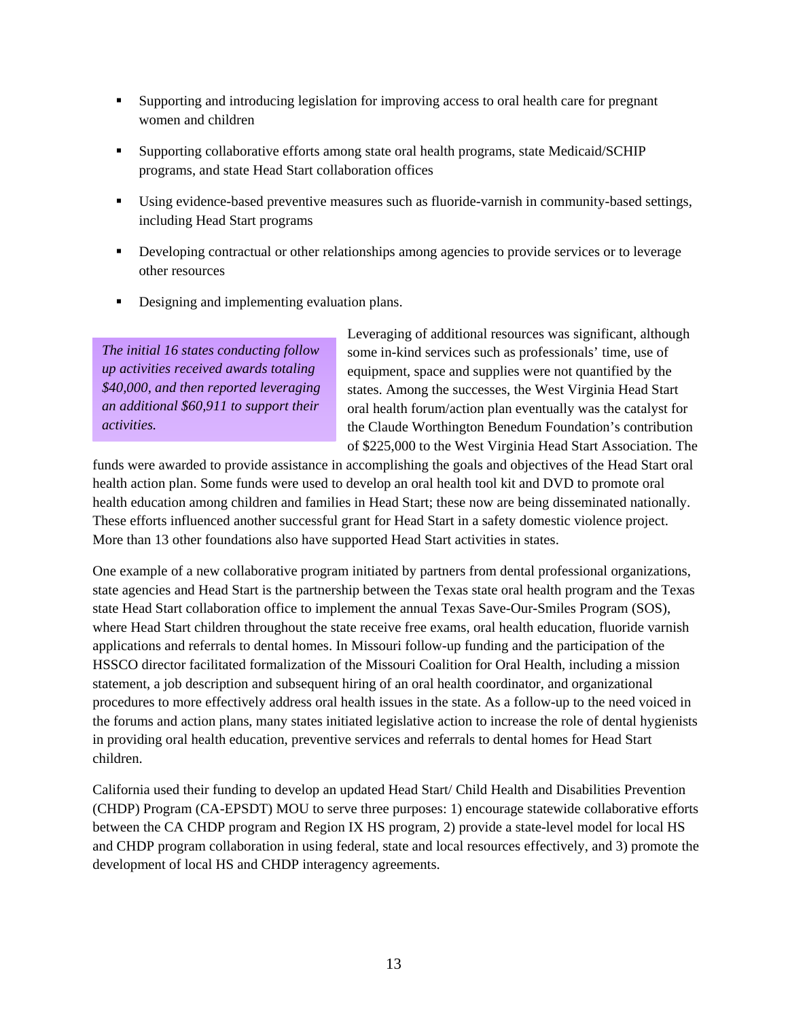- Supporting and introducing legislation for improving access to oral health care for pregnant women and children
- Supporting collaborative efforts among state oral health programs, state Medicaid/SCHIP programs, and state Head Start collaboration offices
- Using evidence-based preventive measures such as fluoride-varnish in community-based settings, including Head Start programs
- **Developing contractual or other relationships among agencies to provide services or to leverage** other resources
- Designing and implementing evaluation plans.

*The initial 16 states conducting follow up activities received awards totaling \$40,000, and then reported leveraging an additional \$60,911 to support their activities.* 

Leveraging of additional resources was significant, although some in-kind services such as professionals' time, use of equipment, space and supplies were not quantified by the states. Among the successes, the West Virginia Head Start oral health forum/action plan eventually was the catalyst for the Claude Worthington Benedum Foundation's contribution of \$225,000 to the West Virginia Head Start Association. The

funds were awarded to provide assistance in accomplishing the goals and objectives of the Head Start oral health action plan. Some funds were used to develop an oral health tool kit and DVD to promote oral health education among children and families in Head Start; these now are being disseminated nationally. These efforts influenced another successful grant for Head Start in a safety domestic violence project. More than 13 other foundations also have supported Head Start activities in states.

One example of a new collaborative program initiated by partners from dental professional organizations, state agencies and Head Start is the partnership between the Texas state oral health program and the Texas state Head Start collaboration office to implement the annual Texas Save-Our-Smiles Program (SOS), where Head Start children throughout the state receive free exams, oral health education, fluoride varnish applications and referrals to dental homes. In Missouri follow-up funding and the participation of the HSSCO director facilitated formalization of the Missouri Coalition for Oral Health, including a mission statement, a job description and subsequent hiring of an oral health coordinator, and organizational procedures to more effectively address oral health issues in the state. As a follow-up to the need voiced in the forums and action plans, many states initiated legislative action to increase the role of dental hygienists in providing oral health education, preventive services and referrals to dental homes for Head Start children.

California used their funding to develop an updated Head Start/ Child Health and Disabilities Prevention (CHDP) Program (CA-EPSDT) MOU to serve three purposes: 1) encourage statewide collaborative efforts between the CA CHDP program and Region IX HS program, 2) provide a state-level model for local HS and CHDP program collaboration in using federal, state and local resources effectively, and 3) promote the development of local HS and CHDP interagency agreements.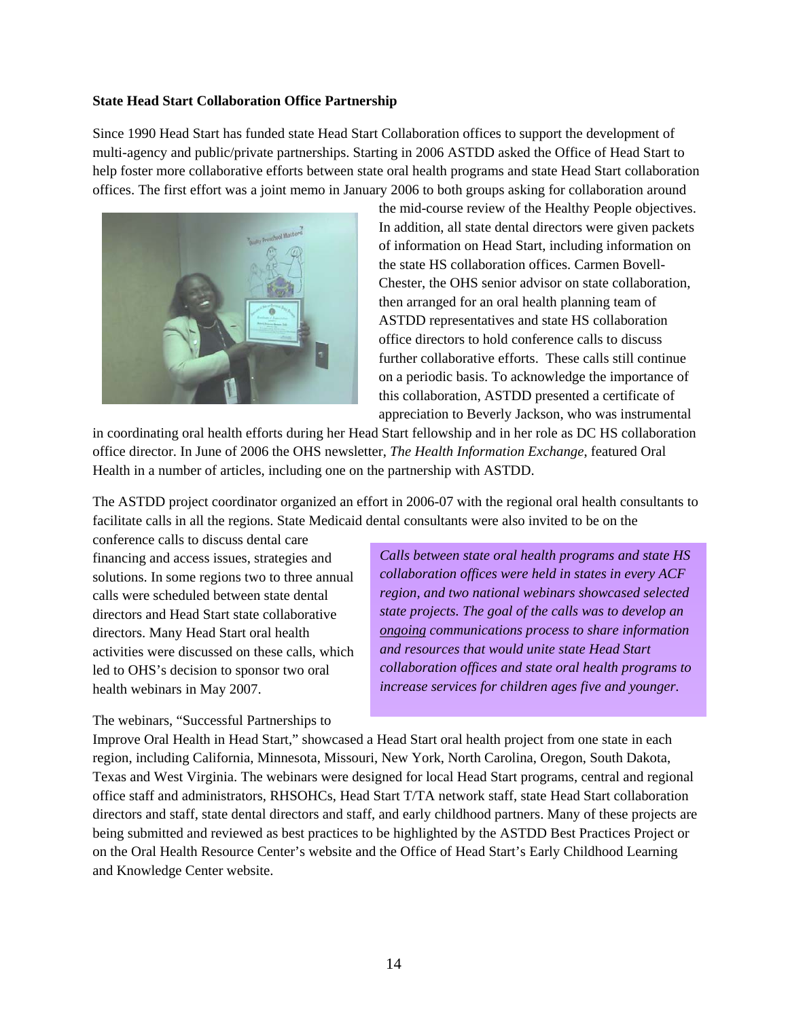#### **State Head Start Collaboration Office Partnership**

Since 1990 Head Start has funded state Head Start Collaboration offices to support the development of multi-agency and public/private partnerships. Starting in 2006 ASTDD asked the Office of Head Start to help foster more collaborative efforts between state oral health programs and state Head Start collaboration offices. The first effort was a joint memo in January 2006 to both groups asking for collaboration around



the mid-course review of the Healthy People objectives. In addition, all state dental directors were given packets of information on Head Start, including information on the state HS collaboration offices. Carmen Bovell-Chester, the OHS senior advisor on state collaboration, then arranged for an oral health planning team of ASTDD representatives and state HS collaboration office directors to hold conference calls to discuss further collaborative efforts. These calls still continue on a periodic basis. To acknowledge the importance of this collaboration, ASTDD presented a certificate of appreciation to Beverly Jackson, who was instrumental

in coordinating oral health efforts during her Head Start fellowship and in her role as DC HS collaboration office director. In June of 2006 the OHS newsletter, *The Health Information Exchange*, featured Oral Health in a number of articles, including one on the partnership with ASTDD.

The ASTDD project coordinator organized an effort in 2006-07 with the regional oral health consultants to facilitate calls in all the regions. State Medicaid dental consultants were also invited to be on the

conference calls to discuss dental care financing and access issues, strategies and solutions. In some regions two to three annual calls were scheduled between state dental directors and Head Start state collaborative directors. Many Head Start oral health activities were discussed on these calls, which led to OHS's decision to sponsor two oral health webinars in May 2007.

*Calls between state oral health programs and state HS collaboration offices were held in states in every ACF region, and two national webinars showcased selected state projects. The goal of the calls was to develop an ongoing communications process to share information and resources that would unite state Head Start collaboration offices and state oral health programs to increase services for children ages five and younger.* 

The webinars, "Successful Partnerships to

Improve Oral Health in Head Start," showcased a Head Start oral health project from one state in each region, including California, Minnesota, Missouri, New York, North Carolina, Oregon, South Dakota, Texas and West Virginia. The webinars were designed for local Head Start programs, central and regional office staff and administrators, RHSOHCs, Head Start T/TA network staff, state Head Start collaboration directors and staff, state dental directors and staff, and early childhood partners. Many of these projects are being submitted and reviewed as best practices to be highlighted by the ASTDD Best Practices Project or on the Oral Health Resource Center's website and the Office of Head Start's Early Childhood Learning and Knowledge Center website.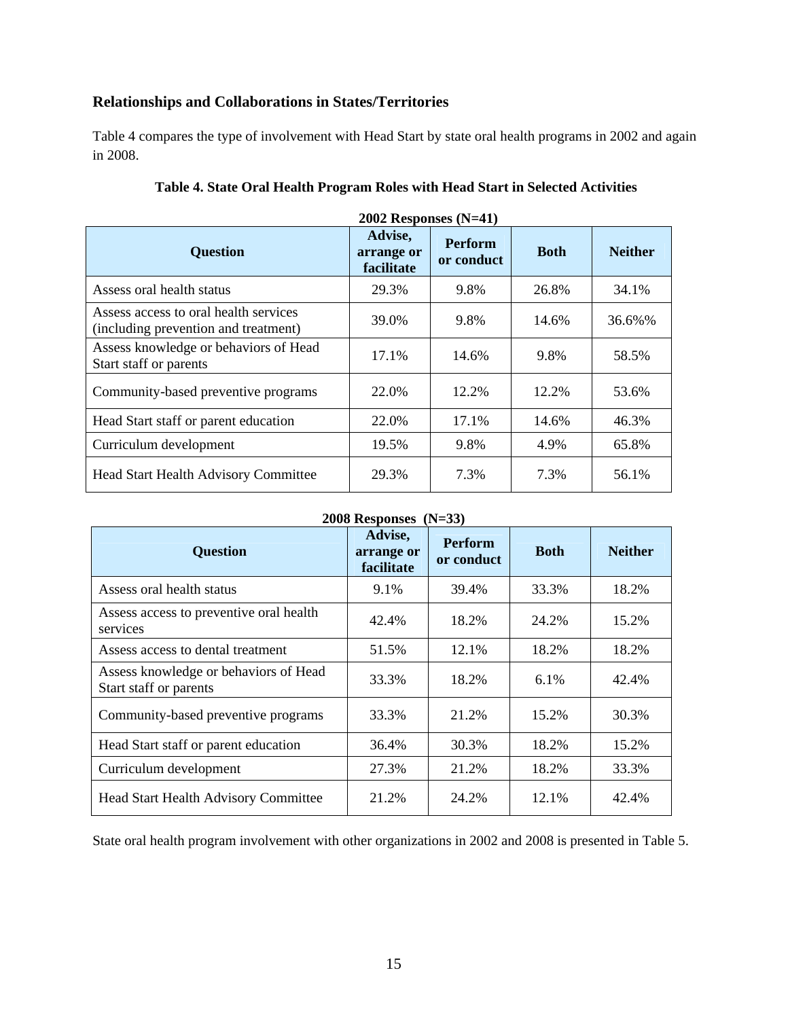## **Relationships and Collaborations in States/Territories**

Table 4 compares the type of involvement with Head Start by state oral health programs in 2002 and again in 2008.

| $2002$ Responses (N=41)                                                       |                                     |                              |             |                |  |  |
|-------------------------------------------------------------------------------|-------------------------------------|------------------------------|-------------|----------------|--|--|
| <b>Question</b>                                                               | Advise,<br>arrange or<br>facilitate | <b>Perform</b><br>or conduct | <b>Both</b> | <b>Neither</b> |  |  |
| Assess oral health status                                                     | 29.3%                               | 9.8%                         | 26.8%       | 34.1%          |  |  |
| Assess access to oral health services<br>(including prevention and treatment) | 39.0%                               | 9.8%                         | 14.6%       | 36.6%%         |  |  |
| Assess knowledge or behaviors of Head<br>Start staff or parents               | 17.1%                               | 14.6%                        | 9.8%        | 58.5%          |  |  |
| Community-based preventive programs                                           | 22.0%                               | 12.2%                        | 12.2%       | 53.6%          |  |  |
| Head Start staff or parent education                                          | 22.0%                               | 17.1%                        | 14.6%       | 46.3%          |  |  |
| Curriculum development                                                        | 19.5%                               | 9.8%                         | 4.9%        | 65.8%          |  |  |
| Head Start Health Advisory Committee                                          | 29.3%                               | 7.3%                         | 7.3%        | 56.1%          |  |  |

| <b>2008 Responses</b><br>$(N=33)$                               |                                     |                              |             |                |  |  |  |
|-----------------------------------------------------------------|-------------------------------------|------------------------------|-------------|----------------|--|--|--|
| <b>Question</b>                                                 | Advise,<br>arrange or<br>facilitate | <b>Perform</b><br>or conduct | <b>Both</b> | <b>Neither</b> |  |  |  |
| Assess oral health status                                       | 9.1%                                | 39.4%                        | 33.3%       | 18.2%          |  |  |  |
| Assess access to preventive oral health<br>services             | 42.4%                               | 18.2%                        | 24.2%       | 15.2%          |  |  |  |
| Assess access to dental treatment                               | 51.5%                               | 12.1%                        | 18.2%       | 18.2%          |  |  |  |
| Assess knowledge or behaviors of Head<br>Start staff or parents | 33.3%                               | 18.2%                        | 6.1%        | 42.4%          |  |  |  |
| Community-based preventive programs                             | 33.3%                               | 21.2%                        | 15.2%       | 30.3%          |  |  |  |
| Head Start staff or parent education                            | 36.4%                               | 30.3%                        | 18.2%       | 15.2%          |  |  |  |
| Curriculum development                                          | 27.3%                               | 21.2%                        | 18.2%       | 33.3%          |  |  |  |
| Head Start Health Advisory Committee                            | 21.2%                               | 24.2%                        | 12.1%       | 42.4%          |  |  |  |

State oral health program involvement with other organizations in 2002 and 2008 is presented in Table 5.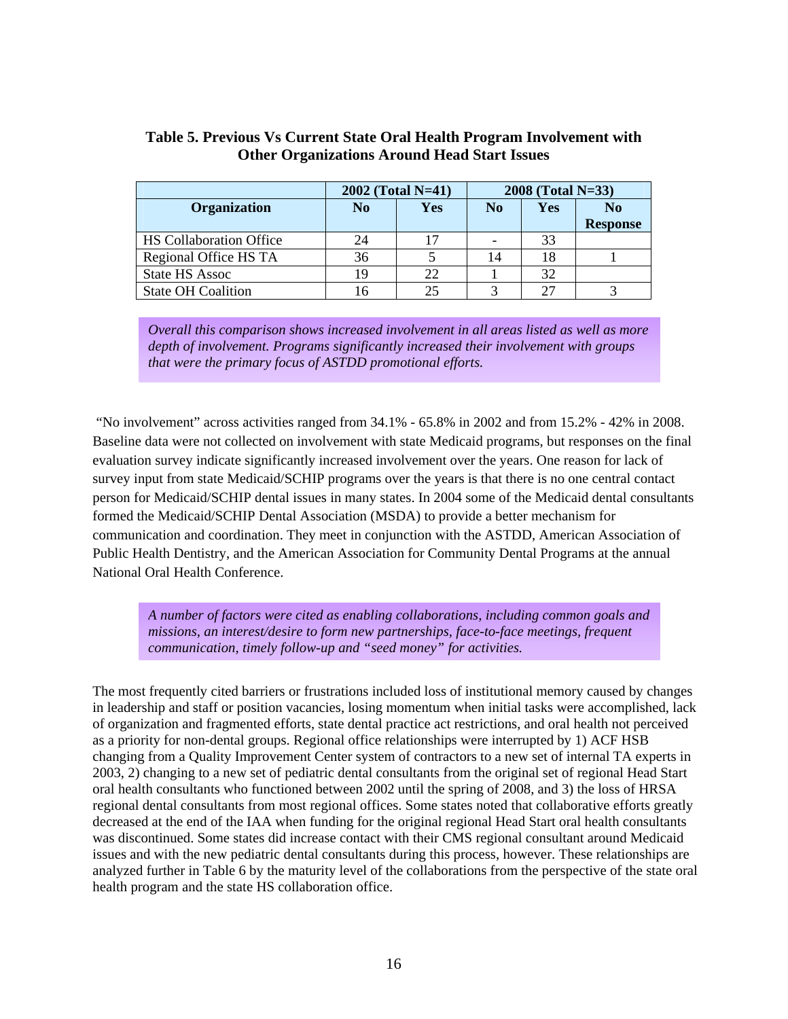| Table 5. Previous Vs Current State Oral Health Program Involvement with |
|-------------------------------------------------------------------------|
| <b>Other Organizations Around Head Start Issues</b>                     |

|                                | $2002$ (Total N=41) |            | $2008$ (Total N=33) |     |                 |
|--------------------------------|---------------------|------------|---------------------|-----|-----------------|
| <b>Organization</b>            | N <sub>0</sub>      | <b>Yes</b> | N <sub>0</sub>      | Yes | N <sub>0</sub>  |
|                                |                     |            |                     |     | <b>Response</b> |
| <b>HS</b> Collaboration Office | 24                  |            |                     | 33  |                 |
| Regional Office HS TA          | 36                  |            | 14                  | 18  |                 |
| <b>State HS Assoc</b>          | 19                  | 22         |                     | 32  |                 |
| <b>State OH Coalition</b>      |                     | つら         |                     | フフ  |                 |

 *Overall this comparison shows increased involvement in all areas listed as well as more depth of involvement. Programs significantly increased their involvement with groups that were the primary focus of ASTDD promotional efforts.* 

 "No involvement" across activities ranged from 34.1% - 65.8% in 2002 and from 15.2% - 42% in 2008. Baseline data were not collected on involvement with state Medicaid programs, but responses on the final evaluation survey indicate significantly increased involvement over the years. One reason for lack of survey input from state Medicaid/SCHIP programs over the years is that there is no one central contact person for Medicaid/SCHIP dental issues in many states. In 2004 some of the Medicaid dental consultants formed the Medicaid/SCHIP Dental Association (MSDA) to provide a better mechanism for communication and coordination. They meet in conjunction with the ASTDD, American Association of Public Health Dentistry, and the American Association for Community Dental Programs at the annual National Oral Health Conference.

 *A number of factors were cited as enabling collaborations, including common goals and missions, an interest/desire to form new partnerships, face-to-face meetings, frequent communication, timely follow-up and "seed money" for activities.*

The most frequently cited barriers or frustrations included loss of institutional memory caused by changes in leadership and staff or position vacancies, losing momentum when initial tasks were accomplished, lack of organization and fragmented efforts, state dental practice act restrictions, and oral health not perceived as a priority for non-dental groups. Regional office relationships were interrupted by 1) ACF HSB changing from a Quality Improvement Center system of contractors to a new set of internal TA experts in 2003, 2) changing to a new set of pediatric dental consultants from the original set of regional Head Start oral health consultants who functioned between 2002 until the spring of 2008, and 3) the loss of HRSA regional dental consultants from most regional offices. Some states noted that collaborative efforts greatly decreased at the end of the IAA when funding for the original regional Head Start oral health consultants was discontinued. Some states did increase contact with their CMS regional consultant around Medicaid issues and with the new pediatric dental consultants during this process, however. These relationships are analyzed further in Table 6 by the maturity level of the collaborations from the perspective of the state oral health program and the state HS collaboration office.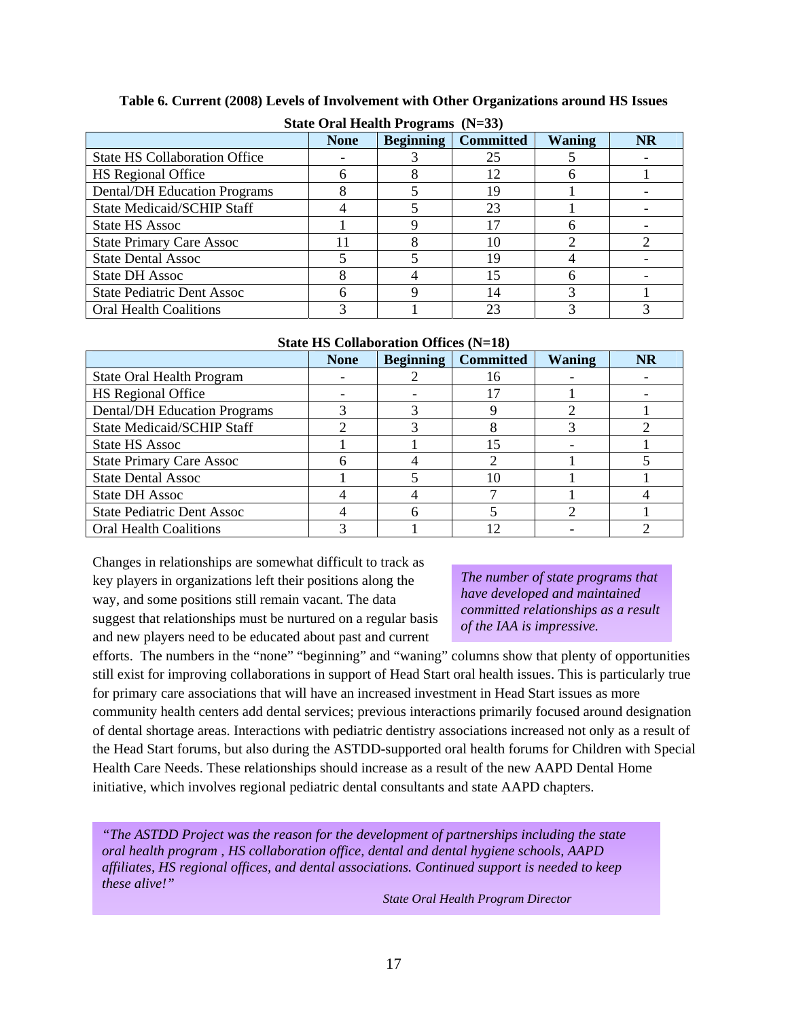| State Oral Health Programs $(N=33)$  |             |                  |                  |               |           |  |
|--------------------------------------|-------------|------------------|------------------|---------------|-----------|--|
|                                      | <b>None</b> | <b>Beginning</b> | <b>Committed</b> | <b>Waning</b> | <b>NR</b> |  |
| <b>State HS Collaboration Office</b> |             |                  | 25               |               |           |  |
| <b>HS</b> Regional Office            | n           |                  | 12               |               |           |  |
| <b>Dental/DH Education Programs</b>  | 8           |                  |                  |               |           |  |
| <b>State Medicaid/SCHIP Staff</b>    |             |                  | 23               |               |           |  |
| <b>State HS Assoc</b>                |             |                  |                  |               |           |  |
| <b>State Primary Care Assoc</b>      |             |                  |                  |               |           |  |
| <b>State Dental Assoc</b>            |             |                  | 19               |               |           |  |
| <b>State DH Assoc</b>                |             |                  |                  |               |           |  |
| <b>State Pediatric Dent Assoc</b>    | 6           |                  | 14               |               |           |  |
| <b>Oral Health Coalitions</b>        |             |                  |                  |               |           |  |

#### **Table 6. Current (2008) Levels of Involvement with Other Organizations around HS Issues**

**State HS Collaboration Offices (N=18)**

|                                     | <b>None</b> | <b>Beginning</b> | <b>Committed</b> | <b>Waning</b> | <b>NR</b> |
|-------------------------------------|-------------|------------------|------------------|---------------|-----------|
| State Oral Health Program           |             |                  | ۱6               |               |           |
| <b>HS</b> Regional Office           |             |                  |                  |               |           |
| <b>Dental/DH</b> Education Programs |             |                  |                  |               |           |
| <b>State Medicaid/SCHIP Staff</b>   |             |                  |                  |               |           |
| <b>State HS Assoc</b>               |             |                  |                  |               |           |
| <b>State Primary Care Assoc</b>     |             |                  |                  |               |           |
| <b>State Dental Assoc</b>           |             |                  |                  |               |           |
| <b>State DH Assoc</b>               |             |                  |                  |               |           |
| <b>State Pediatric Dent Assoc</b>   |             |                  |                  |               |           |
| <b>Oral Health Coalitions</b>       |             |                  |                  |               |           |

Changes in relationships are somewhat difficult to track as key players in organizations left their positions along the way, and some positions still remain vacant. The data suggest that relationships must be nurtured on a regular basis and new players need to be educated about past and current

*The number of state programs that have developed and maintained committed relationships as a result of the IAA is impressive.* 

efforts. The numbers in the "none" "beginning" and "waning" columns show that plenty of opportunities still exist for improving collaborations in support of Head Start oral health issues. This is particularly true for primary care associations that will have an increased investment in Head Start issues as more community health centers add dental services; previous interactions primarily focused around designation of dental shortage areas. Interactions with pediatric dentistry associations increased not only as a result of the Head Start forums, but also during the ASTDD-supported oral health forums for Children with Special Health Care Needs. These relationships should increase as a result of the new AAPD Dental Home initiative, which involves regional pediatric dental consultants and state AAPD chapters.

*"The ASTDD Project was the reason for the development of partnerships including the state oral health program , HS collaboration office, dental and dental hygiene schools, AAPD affiliates, HS regional offices, and dental associations. Continued support is needed to keep these alive!"* 

*State Oral Health Program Director*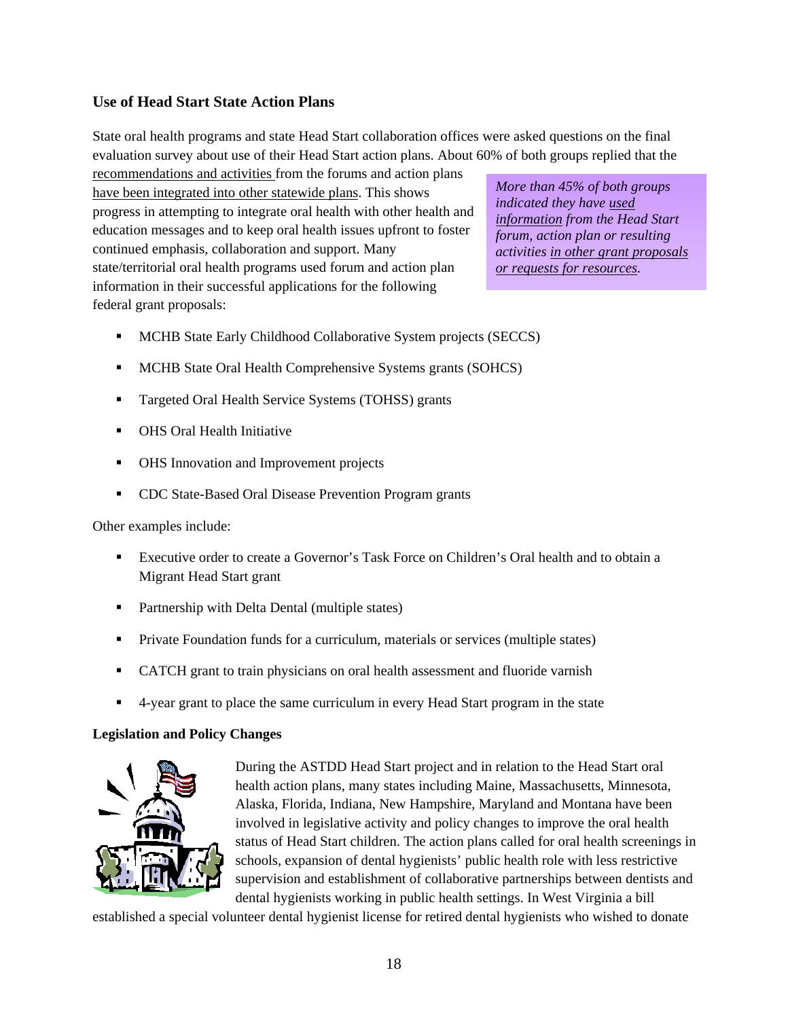#### **Use of Head Start State Action Plans**

State oral health programs and state Head Start collaboration offices were asked questions on the final evaluation survey about use of their Head Start action plans. About 60% of both groups replied that the

recommendations and activities from the forums and action plans have been integrated into other statewide plans. This shows progress in attempting to integrate oral health with other health and education messages and to keep oral health issues upfront to foster continued emphasis, collaboration and support. Many state/territorial oral health programs used forum and action plan information in their successful applications for the following federal grant proposals:

*More than 45% of both groups indicated they have used information from the Head Start forum, action plan or resulting activities in other grant proposals or requests for resources.* 

- MCHB State Early Childhood Collaborative System projects (SECCS)
- **MCHB State Oral Health Comprehensive Systems grants (SOHCS)**
- **Targeted Oral Health Service Systems (TOHSS) grants**
- **OHS Oral Health Initiative**
- OHS Innovation and Improvement projects
- **CDC State-Based Oral Disease Prevention Program grants**

Other examples include:

- Executive order to create a Governor's Task Force on Children's Oral health and to obtain a Migrant Head Start grant
- **•** Partnership with Delta Dental (multiple states)
- **Private Foundation funds for a curriculum, materials or services (multiple states)**
- CATCH grant to train physicians on oral health assessment and fluoride varnish
- 4-year grant to place the same curriculum in every Head Start program in the state

#### **Legislation and Policy Changes**



During the ASTDD Head Start project and in relation to the Head Start oral health action plans, many states including Maine, Massachusetts, Minnesota, Alaska, Florida, Indiana, New Hampshire, Maryland and Montana have been involved in legislative activity and policy changes to improve the oral health status of Head Start children. The action plans called for oral health screenings in schools, expansion of dental hygienists' public health role with less restrictive supervision and establishment of collaborative partnerships between dentists and dental hygienists working in public health settings. In West Virginia a bill

established a special volunteer dental hygienist license for retired dental hygienists who wished to donate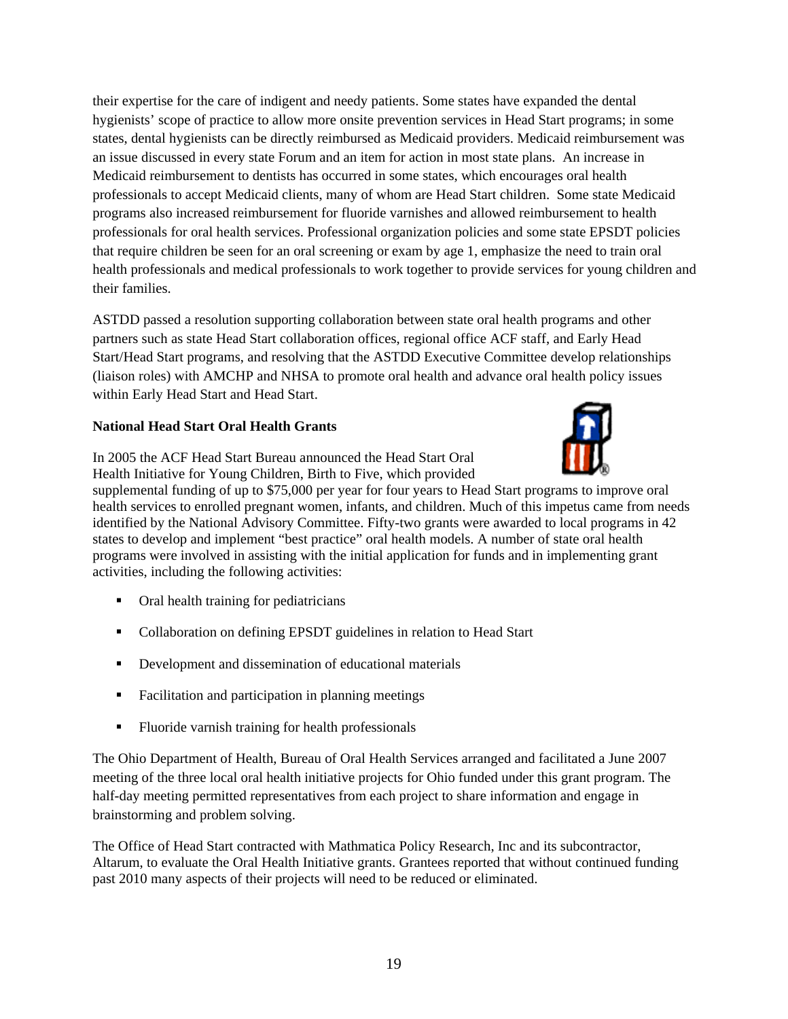their expertise for the care of indigent and needy patients. Some states have expanded the dental hygienists' scope of practice to allow more onsite prevention services in Head Start programs; in some states, dental hygienists can be directly reimbursed as Medicaid providers. Medicaid reimbursement was an issue discussed in every state Forum and an item for action in most state plans. An increase in Medicaid reimbursement to dentists has occurred in some states, which encourages oral health professionals to accept Medicaid clients, many of whom are Head Start children. Some state Medicaid programs also increased reimbursement for fluoride varnishes and allowed reimbursement to health professionals for oral health services. Professional organization policies and some state EPSDT policies that require children be seen for an oral screening or exam by age 1, emphasize the need to train oral health professionals and medical professionals to work together to provide services for young children and their families.

ASTDD passed a resolution supporting collaboration between state oral health programs and other partners such as state Head Start collaboration offices, regional office ACF staff, and Early Head Start/Head Start programs, and resolving that the ASTDD Executive Committee develop relationships (liaison roles) with AMCHP and NHSA to promote oral health and advance oral health policy issues within Early Head Start and Head Start.

#### **National Head Start Oral Health Grants**



In 2005 the ACF Head Start Bureau announced the Head Start Oral Health Initiative for Young Children, Birth to Five, which provided

supplemental funding of up to \$75,000 per year for four years to Head Start programs to improve oral health services to enrolled pregnant women, infants, and children. Much of this impetus came from needs identified by the National Advisory Committee. Fifty-two grants were awarded to local programs in 42 states to develop and implement "best practice" oral health models. A number of state oral health programs were involved in assisting with the initial application for funds and in implementing grant activities, including the following activities:

- Oral health training for pediatricians
- Collaboration on defining EPSDT guidelines in relation to Head Start
- Development and dissemination of educational materials
- Facilitation and participation in planning meetings
- Fluoride varnish training for health professionals

The Ohio Department of Health, Bureau of Oral Health Services arranged and facilitated a June 2007 meeting of the three local oral health initiative projects for Ohio funded under this grant program. The half-day meeting permitted representatives from each project to share information and engage in brainstorming and problem solving.

The Office of Head Start contracted with Mathmatica Policy Research, Inc and its subcontractor, Altarum, to evaluate the Oral Health Initiative grants. Grantees reported that without continued funding past 2010 many aspects of their projects will need to be reduced or eliminated.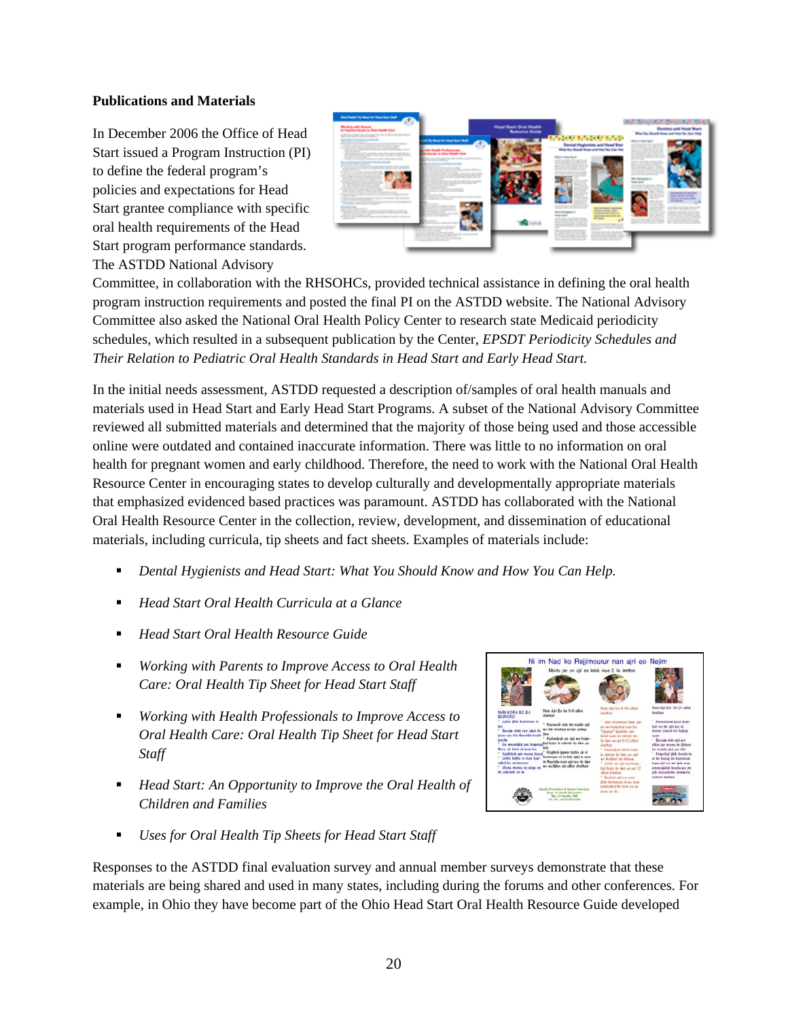#### **Publications and Materials**

In December 2006 the Office of Head Start issued a Program Instruction (PI) to define the federal program's policies and expectations for Head Start grantee compliance with specific oral health requirements of the Head Start program performance standards. The ASTDD National Advisory



Committee, in collaboration with the RHSOHCs, provided technical assistance in defining the oral health program instruction requirements and posted the final PI on the ASTDD website. The National Advisory Committee also asked the National Oral Health Policy Center to research state Medicaid periodicity schedules, which resulted in a subsequent publication by the Center, *EPSDT Periodicity Schedules and Their Relation to Pediatric Oral Health Standards in Head Start and Early Head Start.*

In the initial needs assessment, ASTDD requested a description of/samples of oral health manuals and materials used in Head Start and Early Head Start Programs. A subset of the National Advisory Committee reviewed all submitted materials and determined that the majority of those being used and those accessible online were outdated and contained inaccurate information. There was little to no information on oral health for pregnant women and early childhood. Therefore, the need to work with the National Oral Health Resource Center in encouraging states to develop culturally and developmentally appropriate materials that emphasized evidenced based practices was paramount. ASTDD has collaborated with the National Oral Health Resource Center in the collection, review, development, and dissemination of educational materials, including curricula, tip sheets and fact sheets. Examples of materials include:

- *Dental Hygienists and Head Start: What You Should Know and How You Can Help.*
- *Head Start Oral Health Curricula at a Glance*
- *Head Start Oral Health Resource Guide*
- *Working with Parents to Improve Access to Oral Health Care: Oral Health Tip Sheet for Head Start Staff*
- *Working with Health Professionals to Improve Access to Oral Health Care: Oral Health Tip Sheet for Head Start Staff*
- *Head Start: An Opportunity to Improve the Oral Health of Children and Families*
- 

Nad ko Reijimourur nan airi eo Neijm

*Uses for Oral Health Tip Sheets for Head Start Staff* 

Responses to the ASTDD final evaluation survey and annual member surveys demonstrate that these materials are being shared and used in many states, including during the forums and other conferences. For example, in Ohio they have become part of the Ohio Head Start Oral Health Resource Guide developed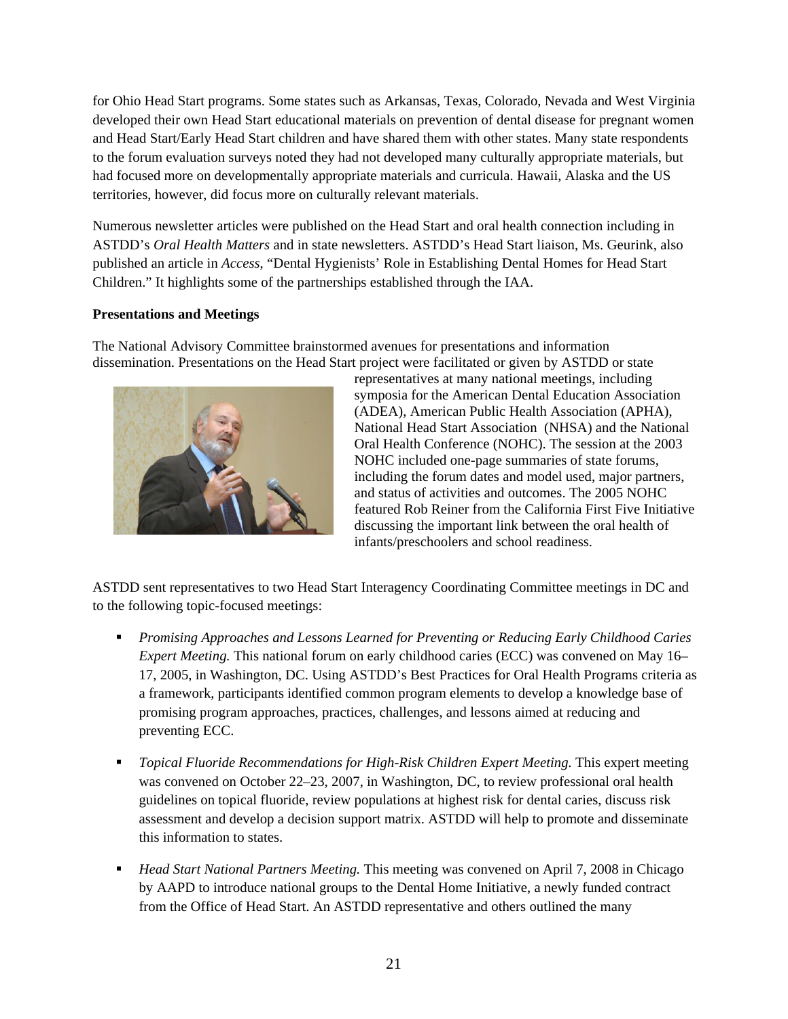for Ohio Head Start programs. Some states such as Arkansas, Texas, Colorado, Nevada and West Virginia developed their own Head Start educational materials on prevention of dental disease for pregnant women and Head Start/Early Head Start children and have shared them with other states. Many state respondents to the forum evaluation surveys noted they had not developed many culturally appropriate materials, but had focused more on developmentally appropriate materials and curricula. Hawaii, Alaska and the US territories, however, did focus more on culturally relevant materials.

Numerous newsletter articles were published on the Head Start and oral health connection including in ASTDD's *Oral Health Matters* and in state newsletters. ASTDD's Head Start liaison, Ms. Geurink, also published an article in *Access*, "Dental Hygienists' Role in Establishing Dental Homes for Head Start Children." It highlights some of the partnerships established through the IAA.

#### **Presentations and Meetings**

The National Advisory Committee brainstormed avenues for presentations and information dissemination. Presentations on the Head Start project were facilitated or given by ASTDD or state



representatives at many national meetings, including symposia for the American Dental Education Association (ADEA), American Public Health Association (APHA), National Head Start Association (NHSA) and the National Oral Health Conference (NOHC). The session at the 2003 NOHC included one-page summaries of state forums, including the forum dates and model used, major partners, and status of activities and outcomes. The 2005 NOHC featured Rob Reiner from the California First Five Initiative discussing the important link between the oral health of infants/preschoolers and school readiness.

ASTDD sent representatives to two Head Start Interagency Coordinating Committee meetings in DC and to the following topic-focused meetings:

- *Promising Approaches and Lessons Learned for Preventing or Reducing Early Childhood Caries Expert Meeting.* This national forum on early childhood caries (ECC) was convened on May 16– 17, 2005, in Washington, DC. Using ASTDD's Best Practices for Oral Health Programs criteria as a framework, participants identified common program elements to develop a knowledge base of promising program approaches, practices, challenges, and lessons aimed at reducing and preventing ECC.
- **•** Topical Fluoride Recommendations for High-Risk Children Expert Meeting. This expert meeting was convened on October 22–23, 2007, in Washington, DC, to review professional oral health guidelines on topical fluoride, review populations at highest risk for dental caries, discuss risk assessment and develop a decision support matrix. ASTDD will help to promote and disseminate this information to states.
- *Head Start National Partners Meeting.* This meeting was convened on April 7, 2008 in Chicago by AAPD to introduce national groups to the Dental Home Initiative, a newly funded contract from the Office of Head Start. An ASTDD representative and others outlined the many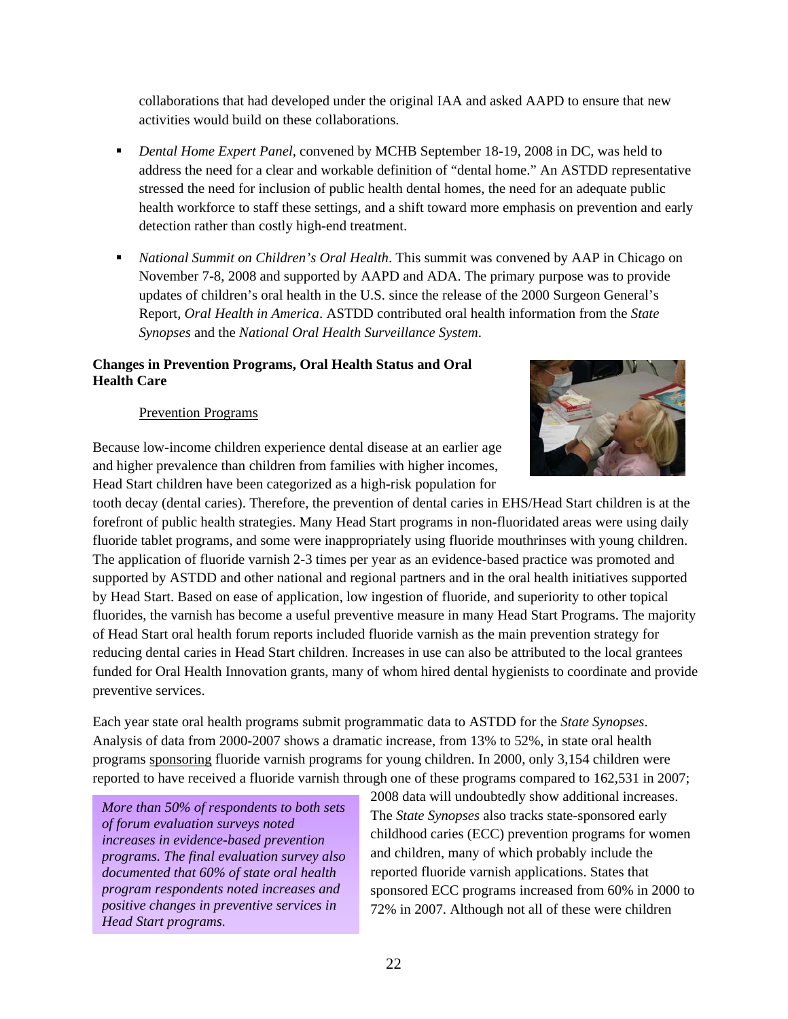collaborations that had developed under the original IAA and asked AAPD to ensure that new activities would build on these collaborations.

- *Dental Home Expert Panel,* convened by MCHB September 18-19, 2008 in DC, was held to address the need for a clear and workable definition of "dental home." An ASTDD representative stressed the need for inclusion of public health dental homes, the need for an adequate public health workforce to staff these settings, and a shift toward more emphasis on prevention and early detection rather than costly high-end treatment.
- *National Summit on Children's Oral Health*. This summit was convened by AAP in Chicago on November 7-8, 2008 and supported by AAPD and ADA. The primary purpose was to provide updates of children's oral health in the U.S. since the release of the 2000 Surgeon General's Report, *Oral Health in America*. ASTDD contributed oral health information from the *State Synopses* and the *National Oral Health Surveillance System*.

#### **Changes in Prevention Programs, Oral Health Status and Oral Health Care**

#### Prevention Programs

Because low-income children experience dental disease at an earlier age and higher prevalence than children from families with higher incomes, Head Start children have been categorized as a high-risk population for



Each year state oral health programs submit programmatic data to ASTDD for the *State Synopses*. Analysis of data from 2000-2007 shows a dramatic increase, from 13% to 52%, in state oral health programs sponsoring fluoride varnish programs for young children. In 2000, only 3,154 children were reported to have received a fluoride varnish through one of these programs compared to 162,531 in 2007;

*More than 50% of respondents to both sets of forum evaluation surveys noted increases in evidence-based prevention programs. The final evaluation survey also documented that 60% of state oral health program respondents noted increases and positive changes in preventive services in Head Start programs.*

2008 data will undoubtedly show additional increases. The *State Synopses* also tracks state-sponsored early childhood caries (ECC) prevention programs for women and children, many of which probably include the reported fluoride varnish applications. States that sponsored ECC programs increased from 60% in 2000 to 72% in 2007. Although not all of these were children

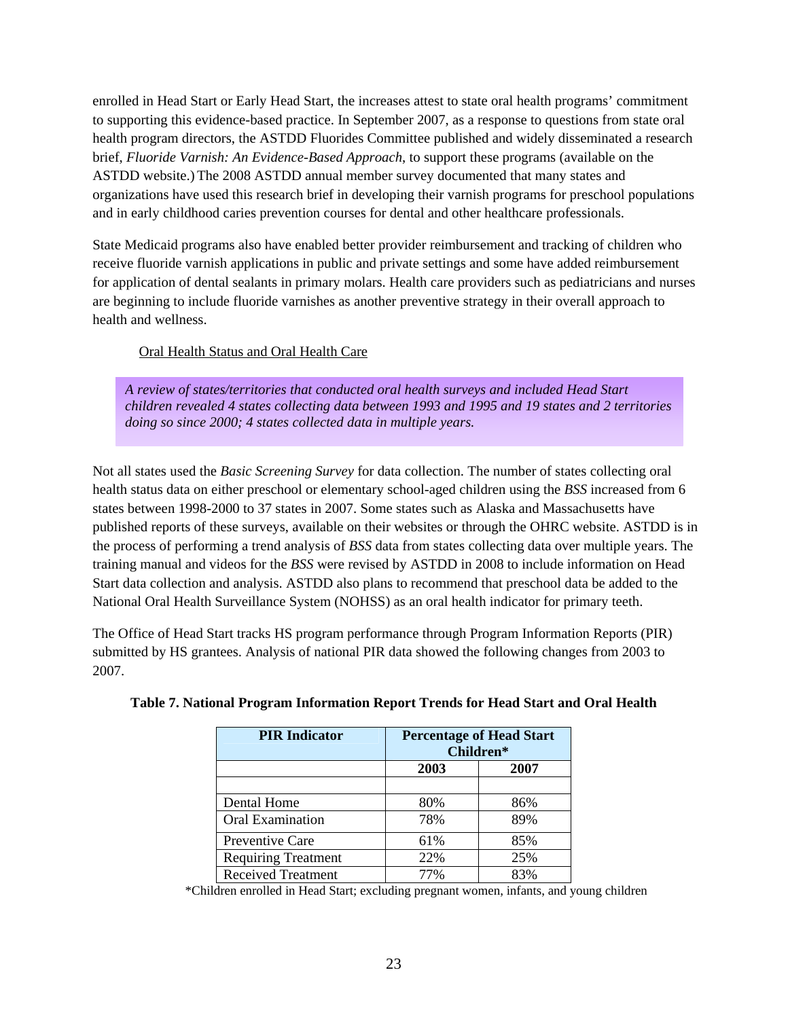enrolled in Head Start or Early Head Start, the increases attest to state oral health programs' commitment to supporting this evidence-based practice. In September 2007, as a response to questions from state oral health program directors, the ASTDD Fluorides Committee published and widely disseminated a research brief, *Fluoride Varnish: An Evidence-Based Approach*, to support these programs (available on the ASTDD website.) The 2008 ASTDD annual member survey documented that many states and organizations have used this research brief in developing their varnish programs for preschool populations and in early childhood caries prevention courses for dental and other healthcare professionals.

State Medicaid programs also have enabled better provider reimbursement and tracking of children who receive fluoride varnish applications in public and private settings and some have added reimbursement for application of dental sealants in primary molars. Health care providers such as pediatricians and nurses are beginning to include fluoride varnishes as another preventive strategy in their overall approach to health and wellness.

#### Oral Health Status and Oral Health Care

*A review of states/territories that conducted oral health surveys and included Head Start children revealed 4 states collecting data between 1993 and 1995 and 19 states and 2 territories doing so since 2000; 4 states collected data in multiple years.* 

Not all states used the *Basic Screening Survey* for data collection. The number of states collecting oral health status data on either preschool or elementary school-aged children using the *BSS* increased from 6 states between 1998-2000 to 37 states in 2007. Some states such as Alaska and Massachusetts have published reports of these surveys, available on their websites or through the OHRC website. ASTDD is in the process of performing a trend analysis of *BSS* data from states collecting data over multiple years. The training manual and videos for the *BSS* were revised by ASTDD in 2008 to include information on Head Start data collection and analysis. ASTDD also plans to recommend that preschool data be added to the National Oral Health Surveillance System (NOHSS) as an oral health indicator for primary teeth.

The Office of Head Start tracks HS program performance through Program Information Reports (PIR) submitted by HS grantees. Analysis of national PIR data showed the following changes from 2003 to 2007.

| <b>PIR Indicator</b>       | <b>Percentage of Head Start</b><br>Children* |      |  |  |
|----------------------------|----------------------------------------------|------|--|--|
|                            | 2003                                         | 2007 |  |  |
|                            |                                              |      |  |  |
| Dental Home                | 80%                                          | 86%  |  |  |
| <b>Oral Examination</b>    | 78%                                          | 89%  |  |  |
| Preventive Care            | 61%                                          | 85%  |  |  |
| <b>Requiring Treatment</b> | 22%                                          | 25%  |  |  |
| <b>Received Treatment</b>  | 77%                                          | 83%  |  |  |

|  |  |  |  | Table 7. National Program Information Report Trends for Head Start and Oral Health |
|--|--|--|--|------------------------------------------------------------------------------------|
|  |  |  |  |                                                                                    |

\*Children enrolled in Head Start; excluding pregnant women, infants, and young children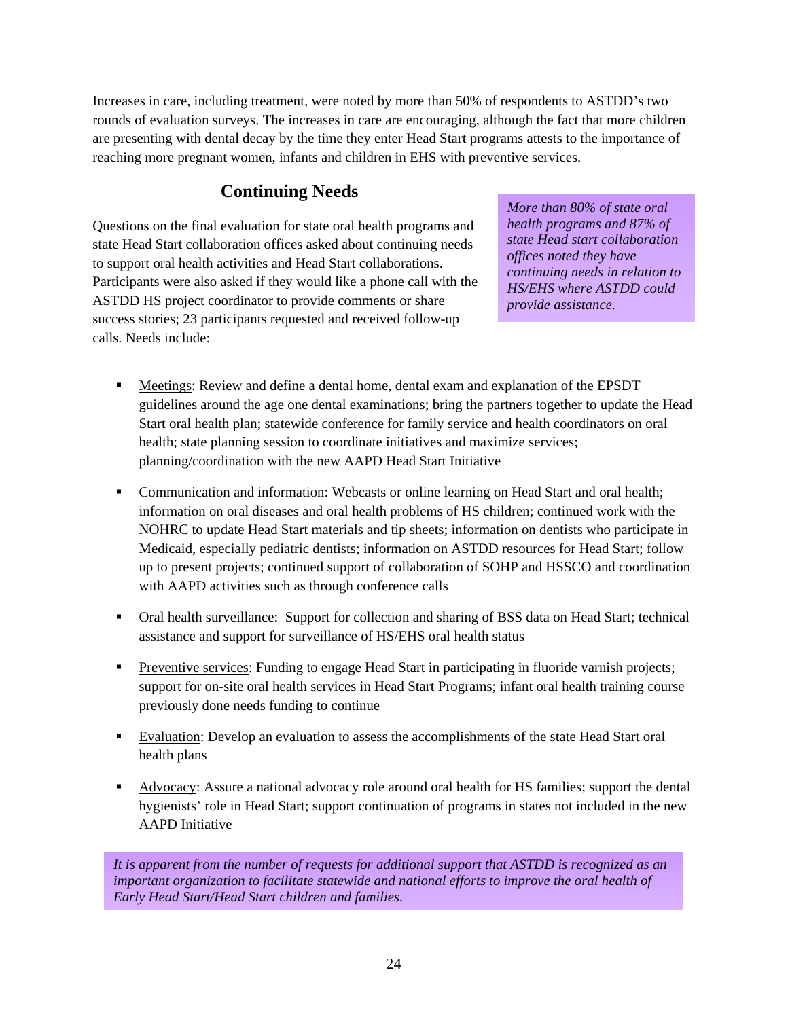Increases in care, including treatment, were noted by more than 50% of respondents to ASTDD's two rounds of evaluation surveys. The increases in care are encouraging, although the fact that more children are presenting with dental decay by the time they enter Head Start programs attests to the importance of reaching more pregnant women, infants and children in EHS with preventive services.

## **Continuing Needs**

Questions on the final evaluation for state oral health programs and state Head Start collaboration offices asked about continuing needs to support oral health activities and Head Start collaborations. Participants were also asked if they would like a phone call with the ASTDD HS project coordinator to provide comments or share success stories; 23 participants requested and received follow-up calls. Needs include:

*More than 80% of state oral health programs and 87% of state Head start collaboration offices noted they have continuing needs in relation to HS/EHS where ASTDD could provide assistance.*

- Meetings: Review and define a dental home, dental exam and explanation of the EPSDT guidelines around the age one dental examinations; bring the partners together to update the Head Start oral health plan; statewide conference for family service and health coordinators on oral health; state planning session to coordinate initiatives and maximize services; planning/coordination with the new AAPD Head Start Initiative
- Communication and information: Webcasts or online learning on Head Start and oral health; information on oral diseases and oral health problems of HS children; continued work with the NOHRC to update Head Start materials and tip sheets; information on dentists who participate in Medicaid, especially pediatric dentists; information on ASTDD resources for Head Start; follow up to present projects; continued support of collaboration of SOHP and HSSCO and coordination with AAPD activities such as through conference calls
- Oral health surveillance: Support for collection and sharing of BSS data on Head Start; technical assistance and support for surveillance of HS/EHS oral health status
- **Preventive services: Funding to engage Head Start in participating in fluoride varnish projects;** support for on-site oral health services in Head Start Programs; infant oral health training course previously done needs funding to continue
- Evaluation: Develop an evaluation to assess the accomplishments of the state Head Start oral health plans
- Advocacy: Assure a national advocacy role around oral health for HS families; support the dental hygienists' role in Head Start; support continuation of programs in states not included in the new AAPD Initiative

*It is apparent from the number of requests for additional support that ASTDD is recognized as an important organization to facilitate statewide and national efforts to improve the oral health of Early Head Start/Head Start children and families.*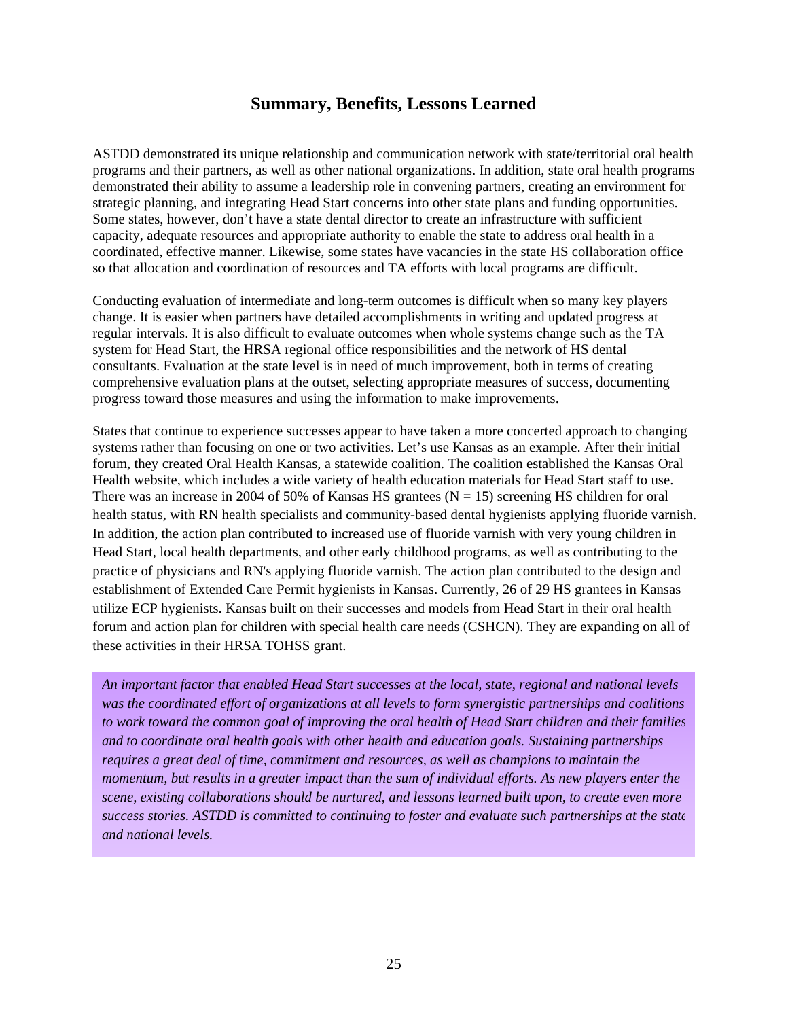## **Summary, Benefits, Lessons Learned**

ASTDD demonstrated its unique relationship and communication network with state/territorial oral health programs and their partners, as well as other national organizations. In addition, state oral health programs demonstrated their ability to assume a leadership role in convening partners, creating an environment for strategic planning, and integrating Head Start concerns into other state plans and funding opportunities. Some states, however, don't have a state dental director to create an infrastructure with sufficient capacity, adequate resources and appropriate authority to enable the state to address oral health in a coordinated, effective manner. Likewise, some states have vacancies in the state HS collaboration office so that allocation and coordination of resources and TA efforts with local programs are difficult.

Conducting evaluation of intermediate and long-term outcomes is difficult when so many key players change. It is easier when partners have detailed accomplishments in writing and updated progress at regular intervals. It is also difficult to evaluate outcomes when whole systems change such as the TA system for Head Start, the HRSA regional office responsibilities and the network of HS dental consultants. Evaluation at the state level is in need of much improvement, both in terms of creating comprehensive evaluation plans at the outset, selecting appropriate measures of success, documenting progress toward those measures and using the information to make improvements.

States that continue to experience successes appear to have taken a more concerted approach to changing systems rather than focusing on one or two activities. Let's use Kansas as an example. After their initial forum, they created Oral Health Kansas, a statewide coalition. The coalition established the Kansas Oral Health website, which includes a wide variety of health education materials for Head Start staff to use. There was an increase in 2004 of 50% of Kansas HS grantees ( $N = 15$ ) screening HS children for oral health status, with RN health specialists and community-based dental hygienists applying fluoride varnish. In addition, the action plan contributed to increased use of fluoride varnish with very young children in Head Start, local health departments, and other early childhood programs, as well as contributing to the practice of physicians and RN's applying fluoride varnish. The action plan contributed to the design and establishment of Extended Care Permit hygienists in Kansas. Currently, 26 of 29 HS grantees in Kansas utilize ECP hygienists. Kansas built on their successes and models from Head Start in their oral health forum and action plan for children with special health care needs (CSHCN). They are expanding on all of these activities in their HRSA TOHSS grant.

*An important factor that enabled Head Start successes at the local, state, regional and national levels was the coordinated effort of organizations at all levels to form synergistic partnerships and coalitions to work toward the common goal of improving the oral health of Head Start children and their families and to coordinate oral health goals with other health and education goals. Sustaining partnerships requires a great deal of time, commitment and resources, as well as champions to maintain the momentum, but results in a greater impact than the sum of individual efforts. As new players enter the scene, existing collaborations should be nurtured, and lessons learned built upon, to create even more success stories. ASTDD is committed to continuing to foster and evaluate such partnerships at the state and national levels.*